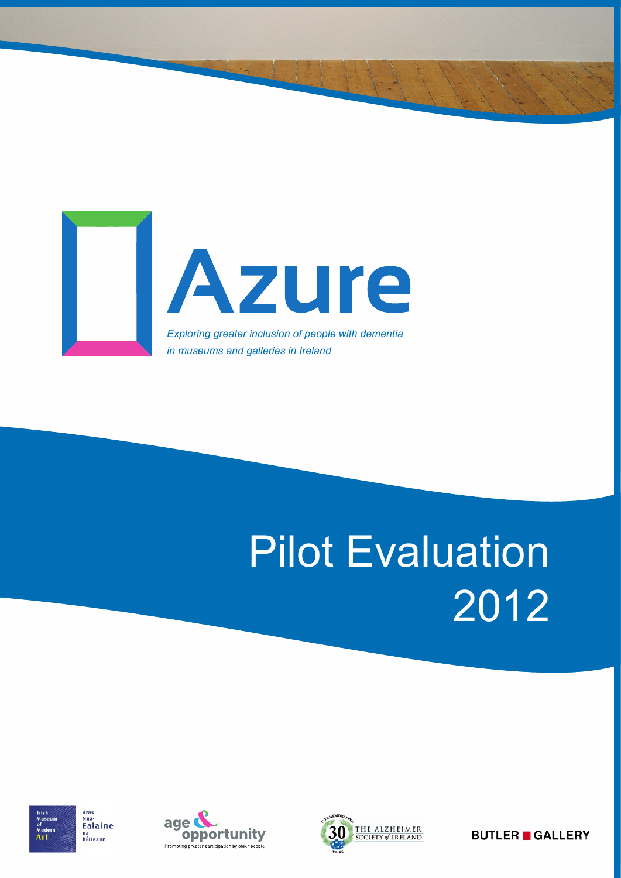

# Pilot Evaluation 2012







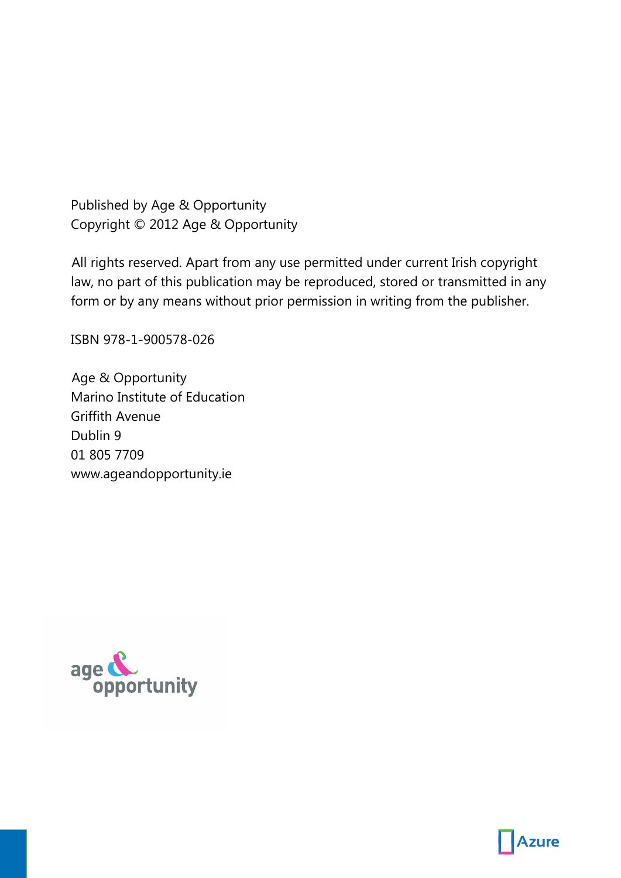Published by Age & Opportunity Copyright © 2012 Age & Opportunity

law, no part of this publication may be reproduced, stored or transmitted in any form or by any means without prior permission in writing from the publisher. All rights reserved. Apart from any use permitted under current Irish copyright

ISBN 978-1-900578-026

Marino Institute of Education Griffith Avenue Dublin 9 01 805 7709 www.ageandopportunity.ie Age & Opportunity



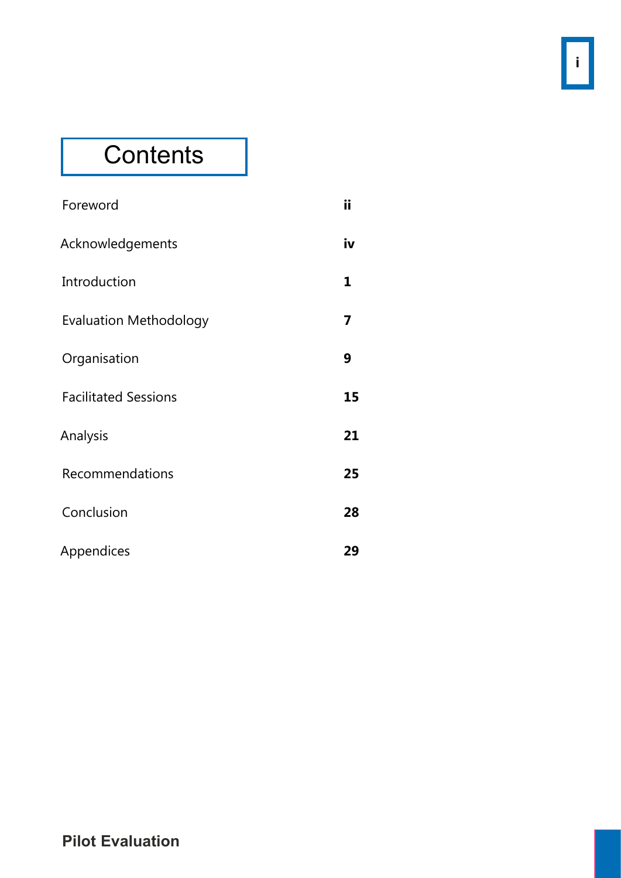# **Contents**

| Foreword                      | ii |
|-------------------------------|----|
| Acknowledgements              | iv |
| Introduction                  | 1  |
| <b>Evaluation Methodology</b> | 7  |
| Organisation                  | 9  |
| <b>Facilitated Sessions</b>   | 15 |
| Analysis                      | 21 |
| Recommendations               | 25 |
| Conclusion                    | 28 |
| Appendices                    | 29 |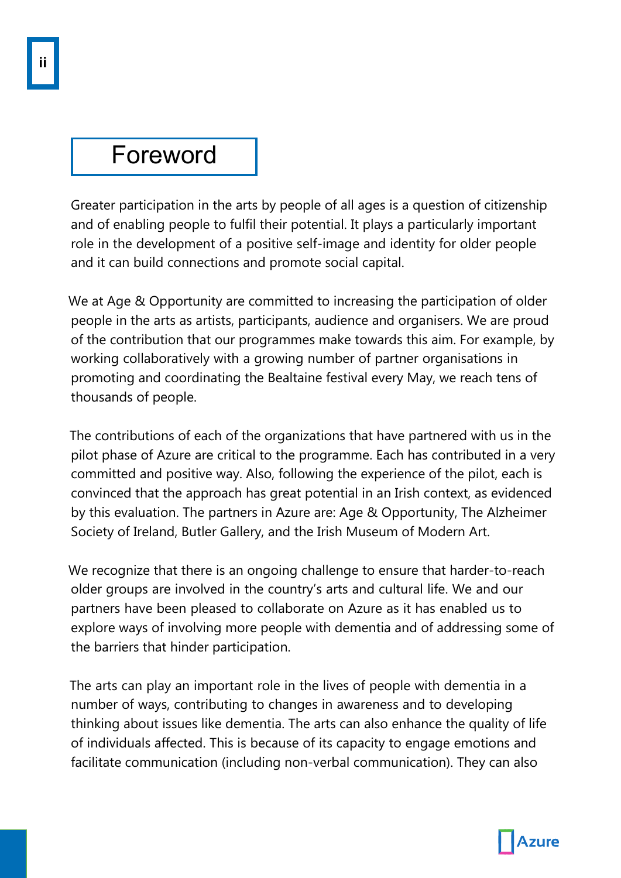# Foreword

Greater participation in the arts by people of all ages is a question of citizenship and of enabling people to fulfil their potential. It plays a particularly important role in the development of a positive self-image and identity for older people and it can build connections and promote social capital.

We at Age & Opportunity are committed to increasing the participation of older people in the arts as artists, participants, audience and organisers. We are proud of the contribution that our programmes make towards this aim. For example, by working collaboratively with a growing number of partner organisations in promoting and coordinating the Bealtaine festival every May, we reach tens of thousands of people.

The contributions of each of the organizations that have partnered with us in the pilot phase of Azure are critical to the programme. Each has contributed in a very committed and positive way. Also, following the experience of the pilot, each is convinced that the approach has great potential in an Irish context, as evidenced by this evaluation. The partners in Azure are: Age & Opportunity, The Alzheimer Society of Ireland, Butler Gallery, and the Irish Museum of Modern Art.

We recognize that there is an ongoing challenge to ensure that harder-to-reach older groups are involved in the country's arts and cultural life. We and our partners have been pleased to collaborate on Azure as it has enabled us to explore ways of involving more people with dementia and of addressing some of the barriers that hinder participation.

The arts can play an important role in the lives of people with dementia in a number of ways, contributing to changes in awareness and to developing thinking about issues like dementia. The arts can also enhance the quality of life of individuals affected. This is because of its capacity to engage emotions and facilitate communication (including non-verbal communication). They can also

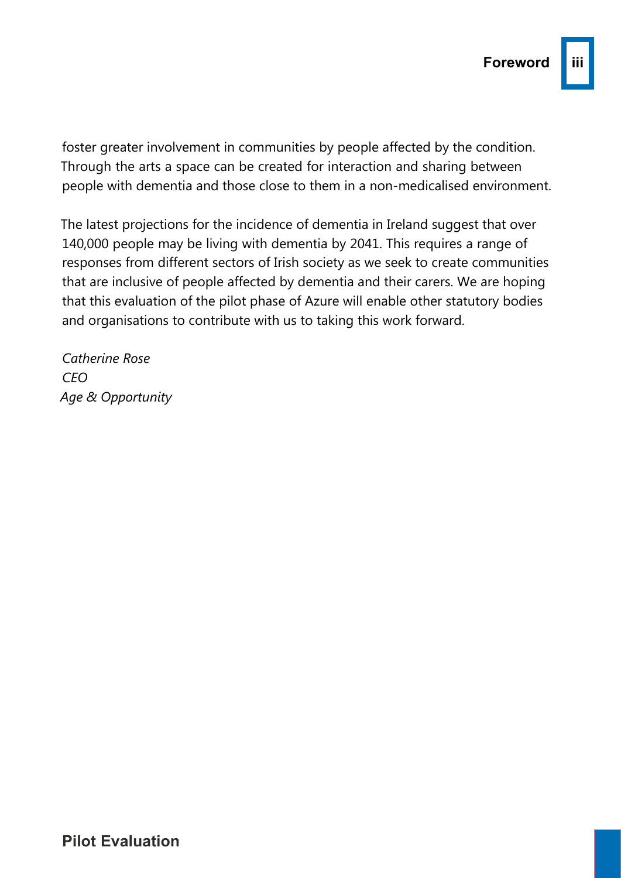foster greater involvement in communities by people affected by the condition. Through the arts a space can be created for interaction and sharing between people with dementia and those close to them in a non-medicalised environment.

The latest projections for the incidence of dementia in Ireland suggest that over 140,000 people may be living with dementia by 2041. This requires a range of responses from different sectors of Irish society as we seek to create communities that are inclusive of people affected by dementia and their carers. We are hoping that this evaluation of the pilot phase of Azure will enable other statutory bodies and organisations to contribute with us to taking this work forward.

*Catherine Rose CEO Age & Opportunity*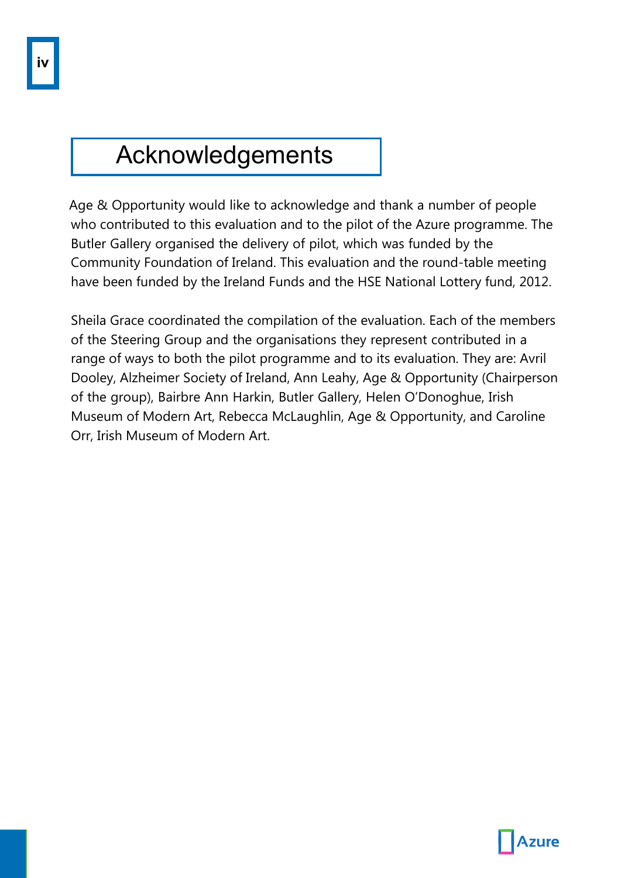# Acknowledgements

Age & Opportunity would like to acknowledge and thank a number of people who contributed to this evaluation and to the pilot of the Azure programme. The Butler Gallery organised the delivery of pilot, which was funded by the Community Foundation of Ireland. This evaluation and the round-table meeting have been funded by the Ireland Funds and the HSE National Lottery fund, 2012.

Sheila Grace coordinated the compilation of the evaluation. Each of the members of the Steering Group and the organisations they represent contributed in a range of ways to both the pilot programme and to its evaluation. They are: Avril Dooley, Alzheimer Society of Ireland, Ann Leahy, Age & Opportunity (Chairperson of the group), Bairbre Ann Harkin, Butler Gallery, Helen O'Donoghue, Irish Museum of Modern Art, Rebecca McLaughlin, Age & Opportunity, and Caroline Orr, Irish Museum of Modern Art.

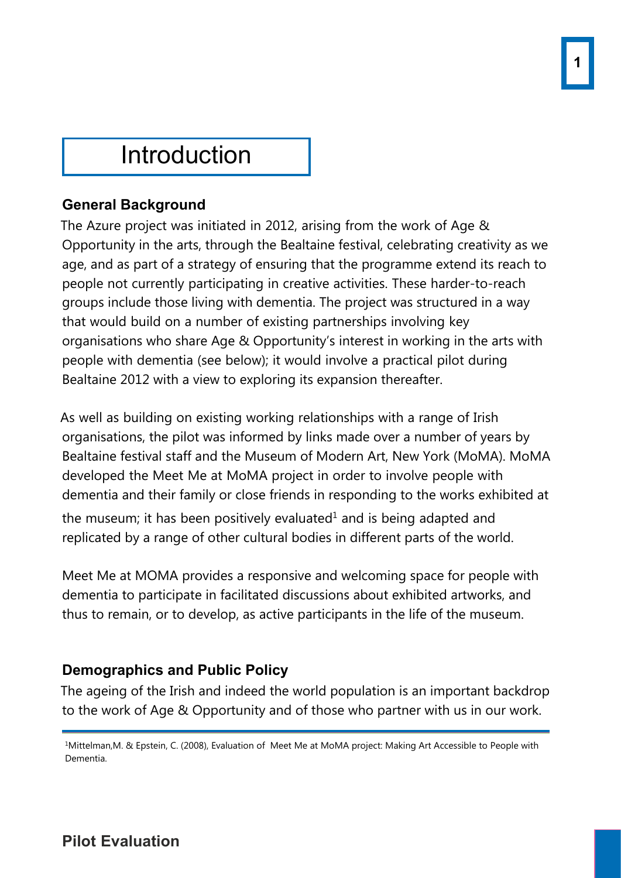# Introduction

#### **General Background**

The Azure project was initiated in 2012, arising from the work of Age & Opportunity in the arts, through the Bealtaine festival, celebrating creativity as we age, and as part of a strategy of ensuring that the programme extend its reach to people not currently participating in creative activities. These harder-to-reach groups include those living with dementia. The project was structured in a way that would build on a number of existing partnerships involving key organisations who share Age & Opportunity's interest in working in the arts with people with dementia (see below); it would involve a practical pilot during Bealtaine 2012 with a view to exploring its expansion thereafter.

As well as building on existing working relationships with a range of Irish organisations, the pilot was informed by links made over a number of years by Bealtaine festival staff and the Museum of Modern Art, New York (MoMA). MoMA developed the Meet Me at MoMA project in order to involve people with dementia and their family or close friends in responding to the works exhibited at the museum; it has been positively evaluated<sup>1</sup> and is being adapted and

replicated by a range of other cultural bodies in different parts of the world.

Meet Me at MOMA provides a responsive and welcoming space for people with dementia to participate in facilitated discussions about exhibited artworks, and thus to remain, or to develop, as active participants in the life of the museum.

#### **Demographics and Public Policy**

The ageing of the Irish and indeed the world population is an important backdrop to the work of Age & Opportunity and of those who partner with us in our work.

# **Pilot Evaluation**

<sup>1</sup>Mittelman,M. & Epstein, C. (2008), Evaluation of Meet Me at MoMA project: Making Art Accessible to People with Dementia.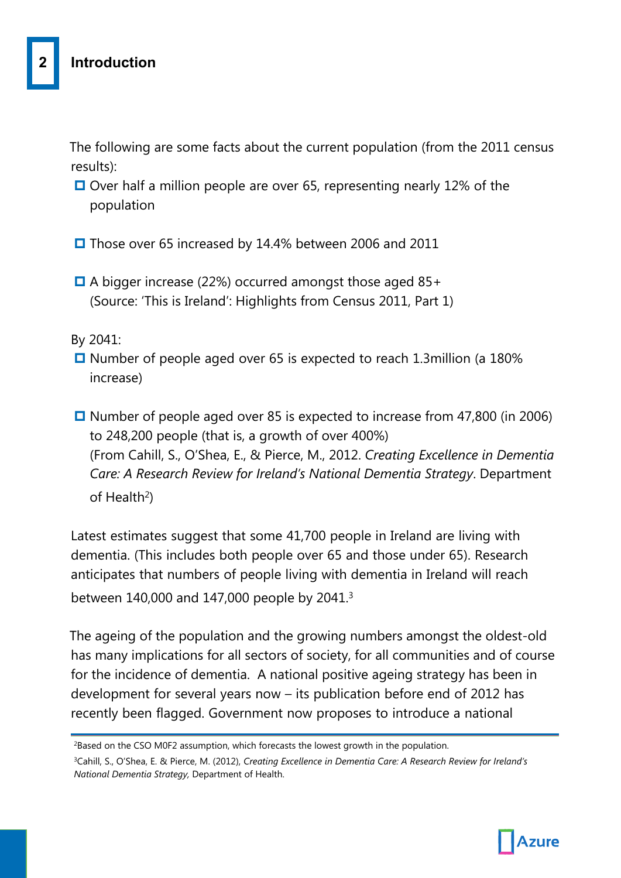The following are some facts about the current population (from the 2011 census results):

- $\Box$  Over half a million people are over 65, representing nearly 12% of the population
- $\square$  Those over 65 increased by 14.4% between 2006 and 2011
- $\Box$  A bigger increase (22%) occurred amongst those aged 85+ (Source: 'This is Ireland': Highlights from Census 2011, Part 1)

By 2041:

- $\square$  Number of people aged over 65 is expected to reach 1.3million (a 180% increase)
- $\Box$  Number of people aged over 85 is expected to increase from 47,800 (in 2006) to 248,200 people (that is, a growth of over 400%) (From Cahill, S., O'Shea, E., & Pierce, M., 2012. *Creating Excellence in Dementia Care: A Research Review for Ireland's National Dementia Strategy*. Department of Health<sup>2</sup>)

Latest estimates suggest that some 41,700 people in Ireland are living with dementia. (This includes both people over 65 and those under 65). Research anticipates that numbers of people living with dementia in Ireland will reach between 140,000 and 147,000 people by 2041.<sup>3</sup>

The ageing of the population and the growing numbers amongst the oldest-old has many implications for all sectors of society, for all communities and of course for the incidence of dementia. A national positive ageing strategy has been in development for several years now – its publication before end of 2012 has recently been flagged. Government now proposes to introduce a national



<sup>2</sup>Based on the CSO M0F2 assumption, which forecasts the lowest growth in the population.

<sup>3</sup>Cahill, S., O'Shea, E. & Pierce, M. (2012), *Creating Excellence in Dementia Care: A Research Review for Ireland's National Dementia Strategy,* Department of Health.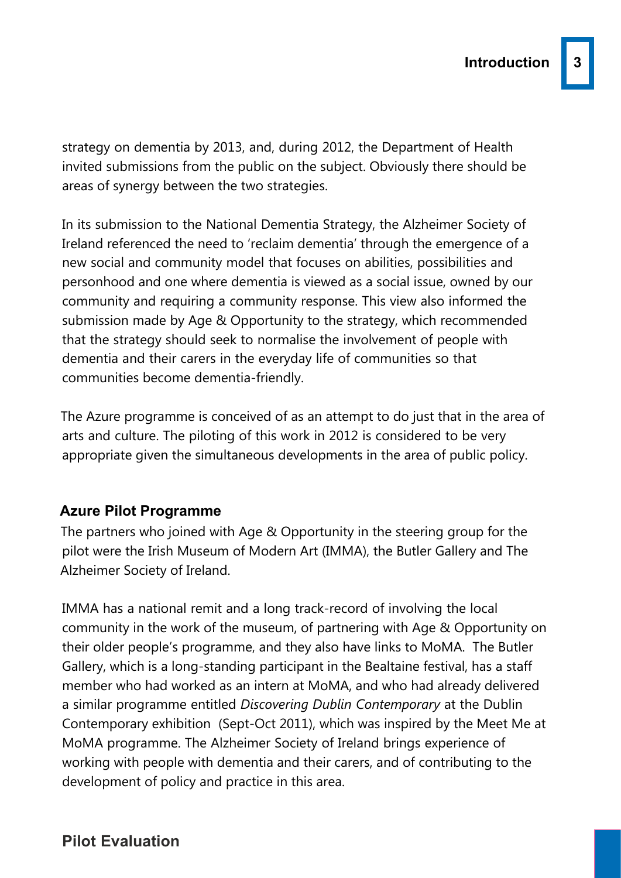strategy on dementia by 2013, and, during 2012, the Department of Health invited submissions from the public on the subject. Obviously there should be areas of synergy between the two strategies.

In its submission to the National Dementia Strategy, the Alzheimer Society of Ireland referenced the need to 'reclaim dementia' through the emergence of a new social and community model that focuses on abilities, possibilities and personhood and one where dementia is viewed as a social issue, owned by our community and requiring a community response. This view also informed the submission made by Age & Opportunity to the strategy, which recommended that the strategy should seek to normalise the involvement of people with dementia and their carers in the everyday life of communities so that communities become dementia-friendly.

The Azure programme is conceived of as an attempt to do just that in the area of arts and culture. The piloting of this work in 2012 is considered to be very appropriate given the simultaneous developments in the area of public policy.

### **Azure Pilot Programme**

The partners who joined with Age & Opportunity in the steering group for the pilot were the Irish Museum of Modern Art (IMMA), the Butler Gallery and The Alzheimer Society of Ireland.

IMMA has a national remit and a long track-record of involving the local community in the work of the museum, of partnering with Age & Opportunity on their older people's programme, and they also have links to MoMA. The Butler Gallery, which is a long-standing participant in the Bealtaine festival, has a staff member who had worked as an intern at MoMA, and who had already delivered a similar programme entitled *Discovering Dublin Contemporary* at the Dublin Contemporary exhibition (Sept-Oct 2011), which was inspired by the Meet Me at MoMA programme. The Alzheimer Society of Ireland brings experience of working with people with dementia and their carers, and of contributing to the development of policy and practice in this area.

# **Pilot Evaluation**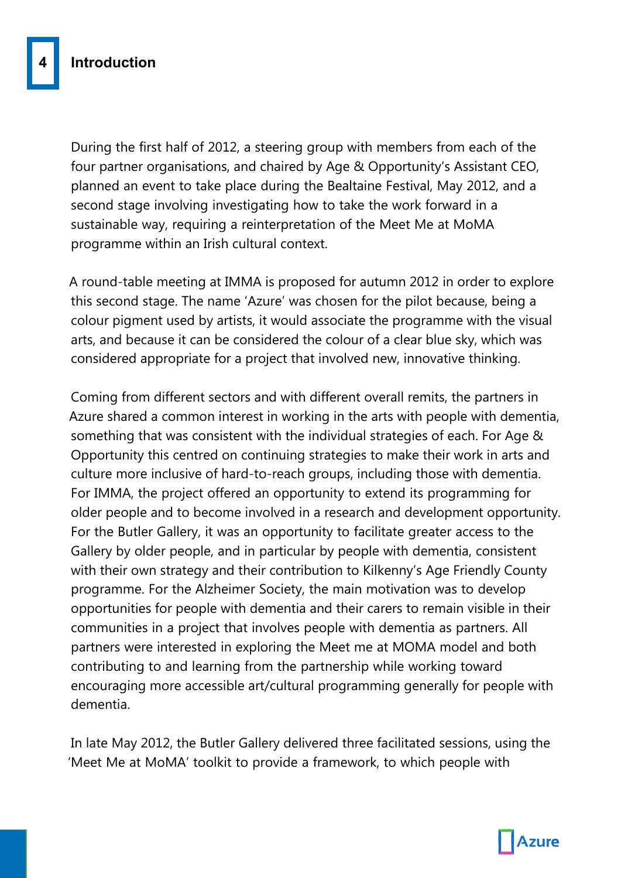During the first half of 2012, a steering group with members from each of the four partner organisations, and chaired by Age & Opportunity's Assistant CEO, planned an event to take place during the Bealtaine Festival, May 2012, and a second stage involving investigating how to take the work forward in a sustainable way, requiring a reinterpretation of the Meet Me at MoMA programme within an Irish cultural context.

A round-table meeting at IMMA is proposed for autumn 2012 in order to explore this second stage. The name 'Azure' was chosen for the pilot because, being a colour pigment used by artists, it would associate the programme with the visual arts, and because it can be considered the colour of a clear blue sky, which was considered appropriate for a project that involved new, innovative thinking.

Coming from different sectors and with different overall remits, the partners in Azure shared a common interest in working in the arts with people with dementia, something that was consistent with the individual strategies of each. For Age & Opportunity this centred on continuing strategies to make their work in arts and culture more inclusive of hard-to-reach groups, including those with dementia. For IMMA, the project offered an opportunity to extend its programming for older people and to become involved in a research and development opportunity. For the Butler Gallery, it was an opportunity to facilitate greater access to the Gallery by older people, and in particular by people with dementia, consistent with their own strategy and their contribution to Kilkenny's Age Friendly County programme. For the Alzheimer Society, the main motivation was to develop opportunities for people with dementia and their carers to remain visible in their communities in a project that involves people with dementia as partners. All partners were interested in exploring the Meet me at MOMA model and both contributing to and learning from the partnership while working toward encouraging more accessible art/cultural programming generally for people with dementia.

In late May 2012, the Butler Gallery delivered three facilitated sessions, using the 'Meet Me at MoMA' toolkit to provide a framework, to which people with

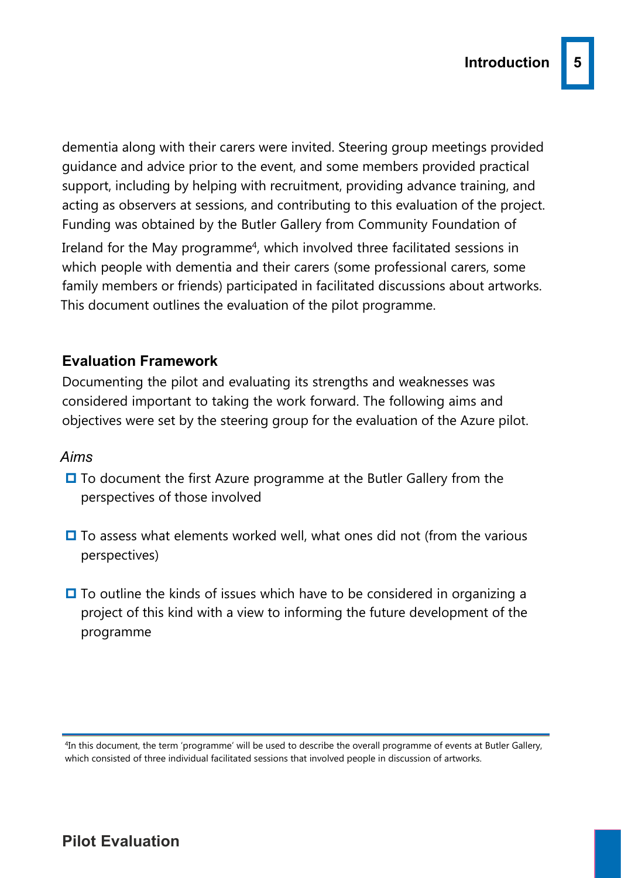dementia along with their carers were invited. Steering group meetings provided guidance and advice prior to the event, and some members provided practical support, including by helping with recruitment, providing advance training, and acting as observers at sessions, and contributing to this evaluation of the project. Funding was obtained by the Butler Gallery from Community Foundation of Ireland for the May programme<sup>4</sup>, which involved three facilitated sessions in which people with dementia and their carers (some professional carers, some family members or friends) participated in facilitated discussions about artworks. This document outlines the evaluation of the pilot programme.

#### **Evaluation Framework**

Documenting the pilot and evaluating its strengths and weaknesses was considered important to taking the work forward. The following aims and objectives were set by the steering group for the evaluation of the Azure pilot.

#### *Aims*

- $\Box$  To document the first Azure programme at the Butler Gallery from the perspectives of those involved
- $\square$  To assess what elements worked well, what ones did not (from the various perspectives)
- $\Box$  To outline the kinds of issues which have to be considered in organizing a project of this kind with a view to informing the future development of the programme

# **Pilot Evaluation**

<sup>4</sup> In this document, the term 'programme' will be used to describe the overall programme of events at Butler Gallery, which consisted of three individual facilitated sessions that involved people in discussion of artworks.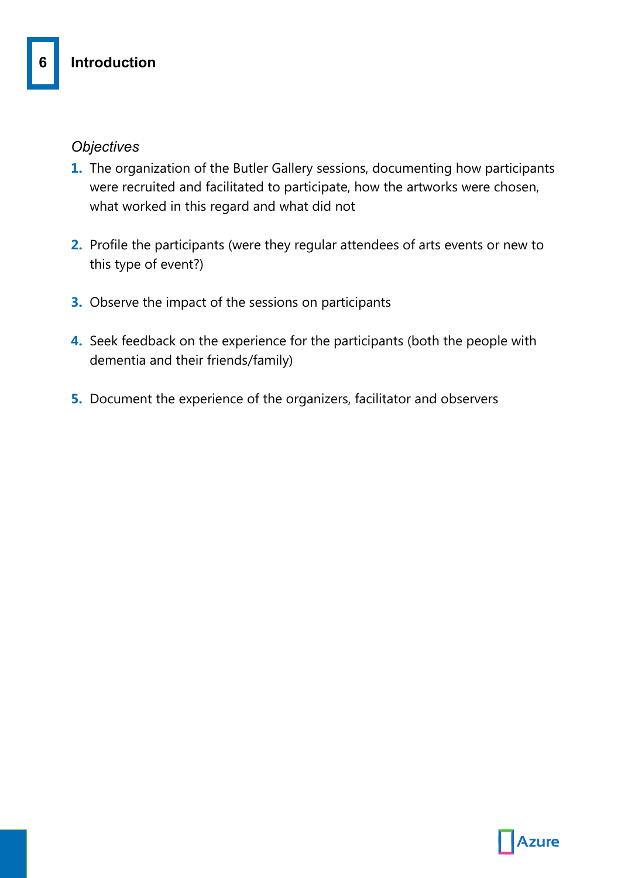#### *Objectives*

- **1.** The organization of the Butler Gallery sessions, documenting how participants were recruited and facilitated to participate, how the artworks were chosen, what worked in this regard and what did not
- **2.** Profile the participants (were they regular attendees of arts events or new to this type of event?)
- **3.** Observe the impact of the sessions on participants
- **4.** Seek feedback on the experience for the participants (both the people with dementia and their friends/family)
- **5.** Document the experience of the organizers, facilitator and observers

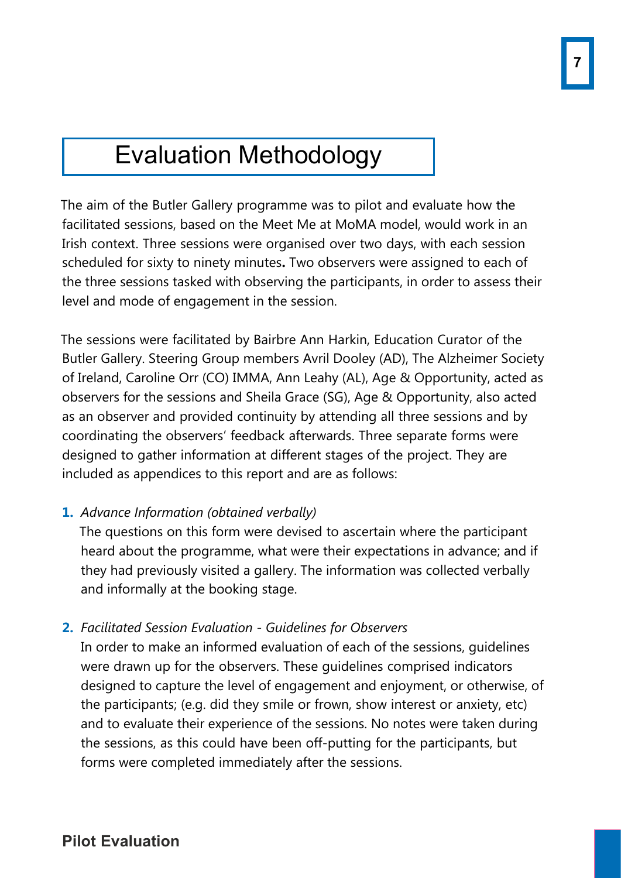# Evaluation Methodology

The aim of the Butler Gallery programme was to pilot and evaluate how the facilitated sessions, based on the Meet Me at MoMA model, would work in an Irish context. Three sessions were organised over two days, with each session scheduled for sixty to ninety minutes**.** Two observers were assigned to each of the three sessions tasked with observing the participants, in order to assess their level and mode of engagement in the session.

The sessions were facilitated by Bairbre Ann Harkin, Education Curator of the Butler Gallery. Steering Group members Avril Dooley (AD), The Alzheimer Society of Ireland, Caroline Orr (CO) IMMA, Ann Leahy (AL), Age & Opportunity, acted as observers for the sessions and Sheila Grace (SG), Age & Opportunity, also acted as an observer and provided continuity by attending all three sessions and by coordinating the observers' feedback afterwards. Three separate forms were designed to gather information at different stages of the project. They are included as appendices to this report and are as follows:

#### **1.** *Advance Information (obtained verbally)*

The questions on this form were devised to ascertain where the participant heard about the programme, what were their expectations in advance; and if they had previously visited a gallery. The information was collected verbally and informally at the booking stage.

#### **2.** *Facilitated Session Evaluation - Guidelines for Observers*

In order to make an informed evaluation of each of the sessions, guidelines were drawn up for the observers. These guidelines comprised indicators designed to capture the level of engagement and enjoyment, or otherwise, of the participants; (e.g. did they smile or frown, show interest or anxiety, etc) and to evaluate their experience of the sessions. No notes were taken during the sessions, as this could have been off-putting for the participants, but forms were completed immediately after the sessions.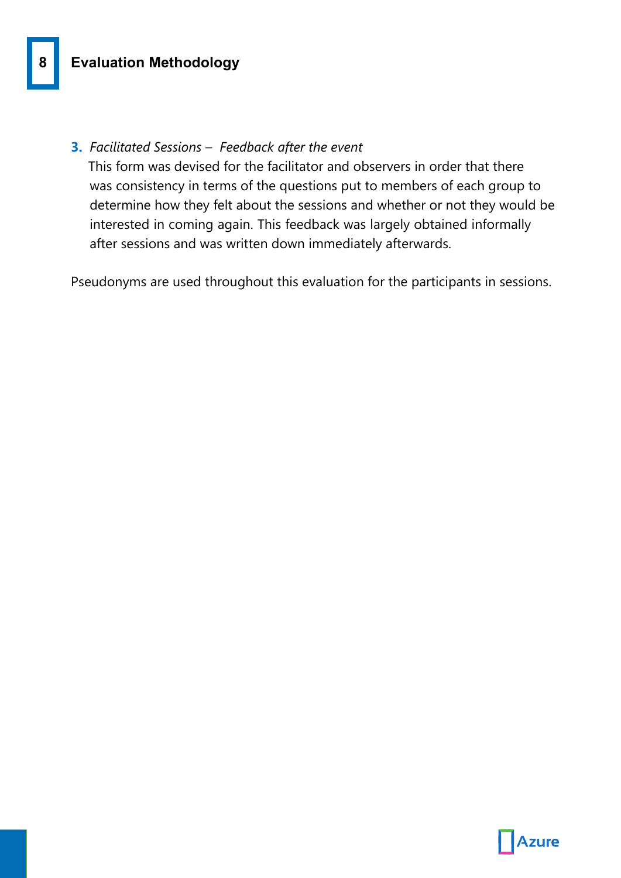#### **3.** *Facilitated Sessions – Feedback after the event*

This form was devised for the facilitator and observers in order that there was consistency in terms of the questions put to members of each group to determine how they felt about the sessions and whether or not they would be interested in coming again. This feedback was largely obtained informally after sessions and was written down immediately afterwards.

Pseudonyms are used throughout this evaluation for the participants in sessions.

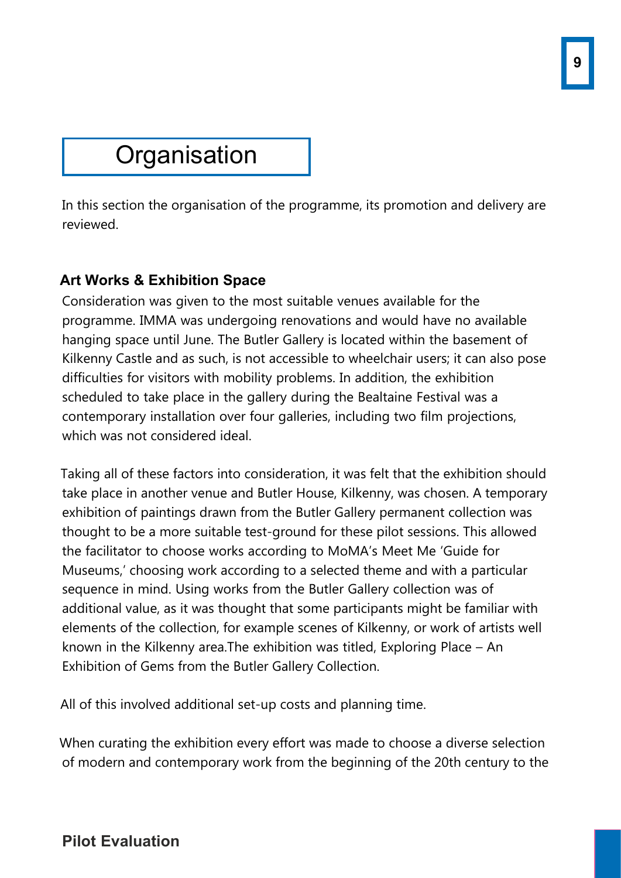# **9**

# **Organisation**

In this section the organisation of the programme, its promotion and delivery are reviewed.

#### **Art Works & Exhibition Space**

Consideration was given to the most suitable venues available for the programme. IMMA was undergoing renovations and would have no available hanging space until June. The Butler Gallery is located within the basement of Kilkenny Castle and as such, is not accessible to wheelchair users; it can also pose difficulties for visitors with mobility problems. In addition, the exhibition scheduled to take place in the gallery during the Bealtaine Festival was a contemporary installation over four galleries, including two film projections, which was not considered ideal.

Taking all of these factors into consideration, it was felt that the exhibition should take place in another venue and Butler House, Kilkenny, was chosen. A temporary exhibition of paintings drawn from the Butler Gallery permanent collection was thought to be a more suitable test-ground for these pilot sessions. This allowed the facilitator to choose works according to MoMA's Meet Me 'Guide for Museums,' choosing work according to a selected theme and with a particular sequence in mind. Using works from the Butler Gallery collection was of additional value, as it was thought that some participants might be familiar with elements of the collection, for example scenes of Kilkenny, or work of artists well known in the Kilkenny area.The exhibition was titled, Exploring Place – An Exhibition of Gems from the Butler Gallery Collection.

All of this involved additional set-up costs and planning time.

When curating the exhibition every effort was made to choose a diverse selection of modern and contemporary work from the beginning of the 20th century to the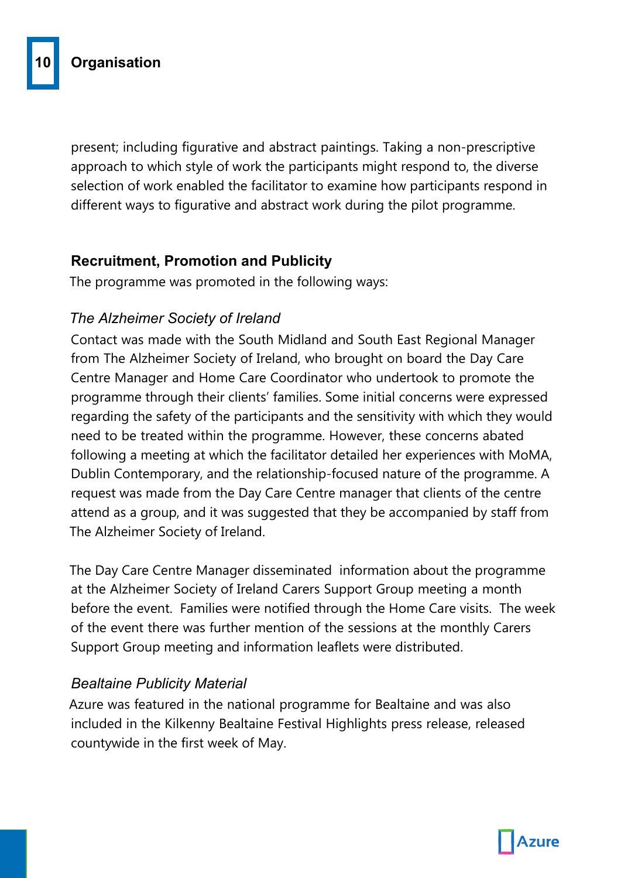present; including figurative and abstract paintings. Taking a non-prescriptive approach to which style of work the participants might respond to, the diverse selection of work enabled the facilitator to examine how participants respond in different ways to figurative and abstract work during the pilot programme.

#### **Recruitment, Promotion and Publicity**

The programme was promoted in the following ways:

#### *The Alzheimer Society of Ireland*

Contact was made with the South Midland and South East Regional Manager from The Alzheimer Society of Ireland, who brought on board the Day Care Centre Manager and Home Care Coordinator who undertook to promote the programme through their clients' families. Some initial concerns were expressed regarding the safety of the participants and the sensitivity with which they would need to be treated within the programme. However, these concerns abated following a meeting at which the facilitator detailed her experiences with MoMA, Dublin Contemporary, and the relationship-focused nature of the programme. A request was made from the Day Care Centre manager that clients of the centre attend as a group, and it was suggested that they be accompanied by staff from The Alzheimer Society of Ireland.

The Day Care Centre Manager disseminated information about the programme at the Alzheimer Society of Ireland Carers Support Group meeting a month before the event. Families were notified through the Home Care visits. The week of the event there was further mention of the sessions at the monthly Carers Support Group meeting and information leaflets were distributed.

#### *Bealtaine Publicity Material*

Azure was featured in the national programme for Bealtaine and was also included in the Kilkenny Bealtaine Festival Highlights press release, released countywide in the first week of May.

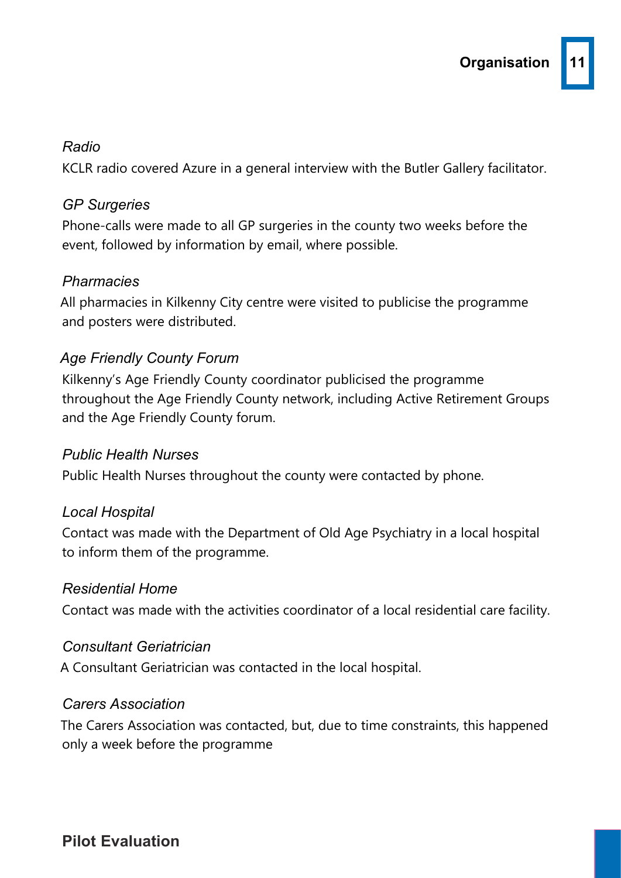#### *Radio*

KCLR radio covered Azure in a general interview with the Butler Gallery facilitator.

#### *GP Surgeries*

Phone-calls were made to all GP surgeries in the county two weeks before the event, followed by information by email, where possible.

#### *Pharmacies*

All pharmacies in Kilkenny City centre were visited to publicise the programme and posters were distributed.

### *Age Friendly County Forum*

Kilkenny's Age Friendly County coordinator publicised the programme throughout the Age Friendly County network, including Active Retirement Groups and the Age Friendly County forum.

#### *Public Health Nurses*

Public Health Nurses throughout the county were contacted by phone.

#### *Local Hospital*

Contact was made with the Department of Old Age Psychiatry in a local hospital to inform them of the programme.

#### *Residential Home*

Contact was made with the activities coordinator of a local residential care facility.

#### *Consultant Geriatrician*

A Consultant Geriatrician was contacted in the local hospital.

#### *Carers Association*

The Carers Association was contacted, but, due to time constraints, this happened only a week before the programme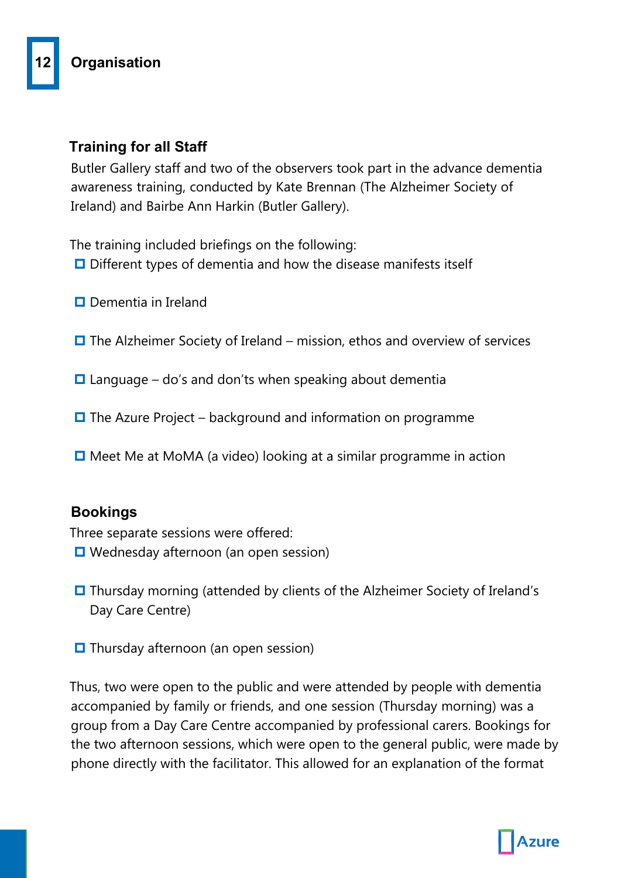#### **Training for all Staff**

Butler Gallery staff and two of the observers took part in the advance dementia awareness training, conducted by Kate Brennan (The Alzheimer Society of Ireland) and Bairbe Ann Harkin (Butler Gallery).

The training included briefings on the following:

 $\Box$  Different types of dementia and how the disease manifests itself

 $\Box$  Dementia in Ireland

 $\Box$  The Alzheimer Society of Ireland – mission, ethos and overview of services

 $\Box$  Language – do's and don'ts when speaking about dementia

- $\Box$  The Azure Project background and information on programme
- $\Box$  Meet Me at MoMA (a video) looking at a similar programme in action

# **Bookings**

Three separate sessions were offered:  $\Box$  Wednesday afternoon (an open session)

- $\Box$  Thursday morning (attended by clients of the Alzheimer Society of Ireland's Day Care Centre)
- $\square$  Thursday afternoon (an open session)

Thus, two were open to the public and were attended by people with dementia accompanied by family or friends, and one session (Thursday morning) was a group from a Day Care Centre accompanied by professional carers. Bookings for the two afternoon sessions, which were open to the general public, were made by phone directly with the facilitator. This allowed for an explanation of the format

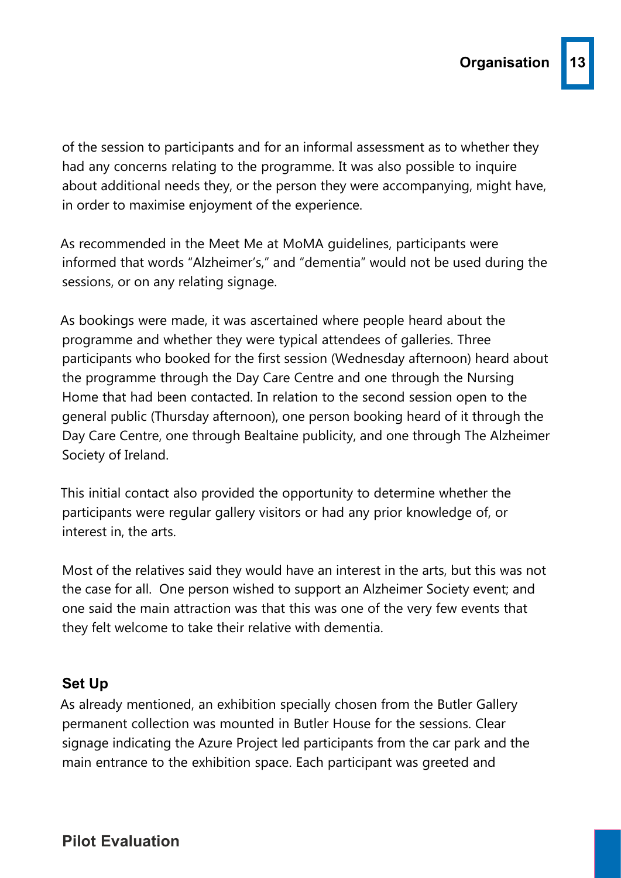of the session to participants and for an informal assessment as to whether they had any concerns relating to the programme. It was also possible to inquire about additional needs they, or the person they were accompanying, might have, in order to maximise enjoyment of the experience.

As recommended in the Meet Me at MoMA guidelines, participants were informed that words "Alzheimer's," and "dementia" would not be used during the sessions, or on any relating signage.

As bookings were made, it was ascertained where people heard about the programme and whether they were typical attendees of galleries. Three participants who booked for the first session (Wednesday afternoon) heard about the programme through the Day Care Centre and one through the Nursing Home that had been contacted. In relation to the second session open to the general public (Thursday afternoon), one person booking heard of it through the Day Care Centre, one through Bealtaine publicity, and one through The Alzheimer Society of Ireland.

This initial contact also provided the opportunity to determine whether the participants were regular gallery visitors or had any prior knowledge of, or interest in, the arts.

Most of the relatives said they would have an interest in the arts, but this was not the case for all. One person wished to support an Alzheimer Society event; and one said the main attraction was that this was one of the very few events that they felt welcome to take their relative with dementia.

### **Set Up**

As already mentioned, an exhibition specially chosen from the Butler Gallery permanent collection was mounted in Butler House for the sessions. Clear signage indicating the Azure Project led participants from the car park and the main entrance to the exhibition space. Each participant was greeted and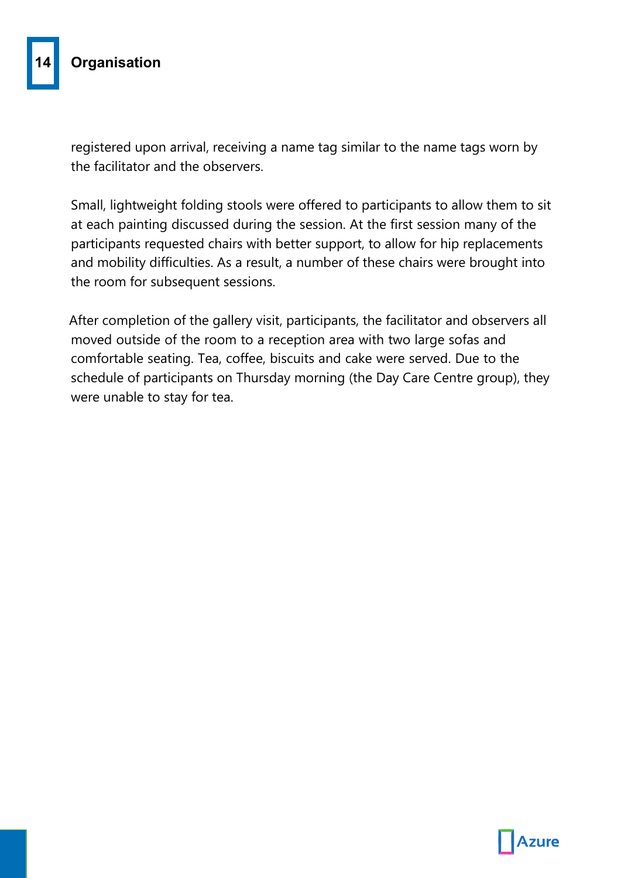registered upon arrival, receiving a name tag similar to the name tags worn by the facilitator and the observers.

Small, lightweight folding stools were offered to participants to allow them to sit at each painting discussed during the session. At the first session many of the participants requested chairs with better support, to allow for hip replacements and mobility difficulties. As a result, a number of these chairs were brought into the room for subsequent sessions.

After completion of the gallery visit, participants, the facilitator and observers all moved outside of the room to a reception area with two large sofas and comfortable seating. Tea, coffee, biscuits and cake were served. Due to the schedule of participants on Thursday morning (the Day Care Centre group), they were unable to stay for tea.

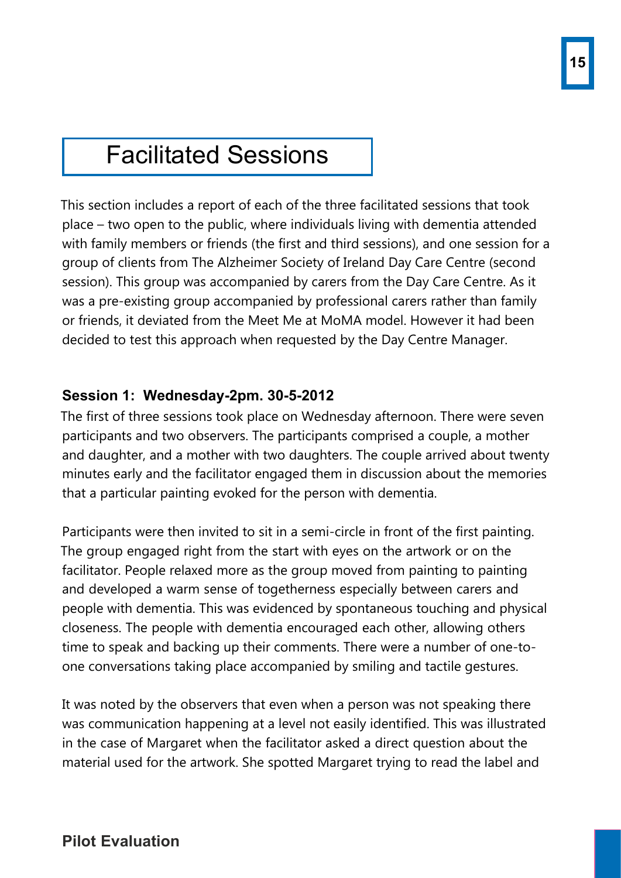# Facilitated Sessions

This section includes a report of each of the three facilitated sessions that took place – two open to the public, where individuals living with dementia attended with family members or friends (the first and third sessions), and one session for a group of clients from The Alzheimer Society of Ireland Day Care Centre (second session). This group was accompanied by carers from the Day Care Centre. As it was a pre-existing group accompanied by professional carers rather than family or friends, it deviated from the Meet Me at MoMA model. However it had been decided to test this approach when requested by the Day Centre Manager.

#### **Session 1: Wednesday-2pm. 30-5-2012**

The first of three sessions took place on Wednesday afternoon. There were seven participants and two observers. The participants comprised a couple, a mother and daughter, and a mother with two daughters. The couple arrived about twenty minutes early and the facilitator engaged them in discussion about the memories that a particular painting evoked for the person with dementia.

Participants were then invited to sit in a semi-circle in front of the first painting. The group engaged right from the start with eyes on the artwork or on the facilitator. People relaxed more as the group moved from painting to painting and developed a warm sense of togetherness especially between carers and people with dementia. This was evidenced by spontaneous touching and physical closeness. The people with dementia encouraged each other, allowing others time to speak and backing up their comments. There were a number of one-toone conversations taking place accompanied by smiling and tactile gestures.

It was noted by the observers that even when a person was not speaking there was communication happening at a level not easily identified. This was illustrated in the case of Margaret when the facilitator asked a direct question about the material used for the artwork. She spotted Margaret trying to read the label and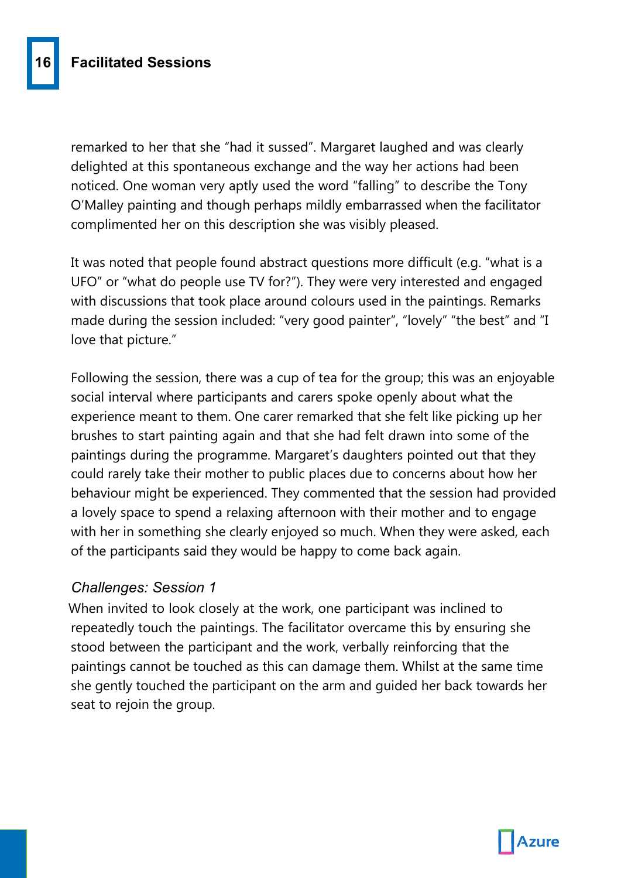**16 Facilitated Sessions**

remarked to her that she "had it sussed". Margaret laughed and was clearly delighted at this spontaneous exchange and the way her actions had been noticed. One woman very aptly used the word "falling" to describe the Tony O'Malley painting and though perhaps mildly embarrassed when the facilitator complimented her on this description she was visibly pleased.

It was noted that people found abstract questions more difficult (e.g. "what is a UFO" or "what do people use TV for?"). They were very interested and engaged with discussions that took place around colours used in the paintings. Remarks made during the session included: "very good painter", "lovely" "the best" and "I love that picture."

Following the session, there was a cup of tea for the group; this was an enjoyable social interval where participants and carers spoke openly about what the experience meant to them. One carer remarked that she felt like picking up her brushes to start painting again and that she had felt drawn into some of the paintings during the programme. Margaret's daughters pointed out that they could rarely take their mother to public places due to concerns about how her behaviour might be experienced. They commented that the session had provided a lovely space to spend a relaxing afternoon with their mother and to engage with her in something she clearly enjoyed so much. When they were asked, each of the participants said they would be happy to come back again.

#### *Challenges: Session 1*

When invited to look closely at the work, one participant was inclined to repeatedly touch the paintings. The facilitator overcame this by ensuring she stood between the participant and the work, verbally reinforcing that the paintings cannot be touched as this can damage them. Whilst at the same time she gently touched the participant on the arm and guided her back towards her seat to rejoin the group.



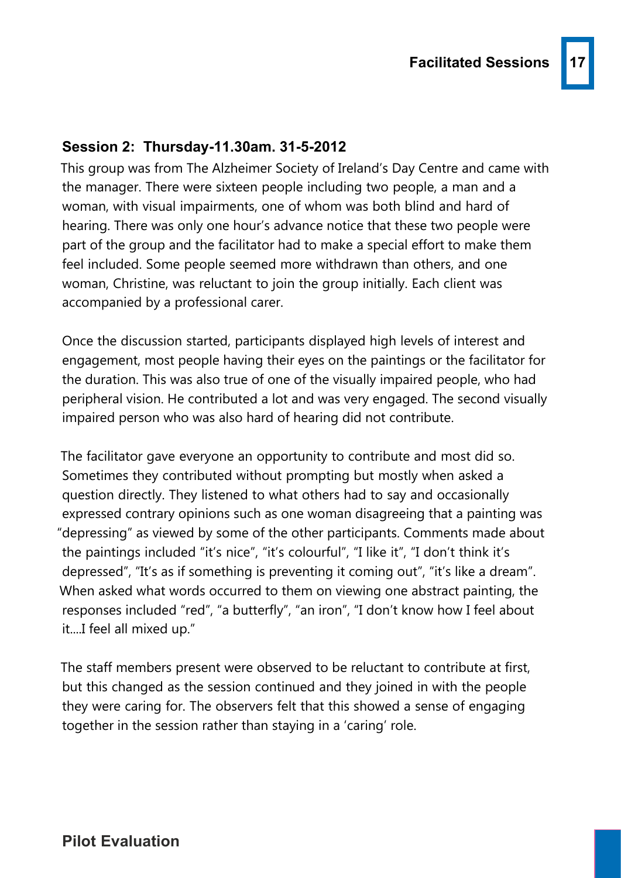**17**

#### **Session 2: Thursday-11.30am. 31-5-2012**

This group was from The Alzheimer Society of Ireland's Day Centre and came with the manager. There were sixteen people including two people, a man and a woman, with visual impairments, one of whom was both blind and hard of hearing. There was only one hour's advance notice that these two people were part of the group and the facilitator had to make a special effort to make them feel included. Some people seemed more withdrawn than others, and one woman, Christine, was reluctant to join the group initially. Each client was accompanied by a professional carer.

Once the discussion started, participants displayed high levels of interest and engagement, most people having their eyes on the paintings or the facilitator for the duration. This was also true of one of the visually impaired people, who had peripheral vision. He contributed a lot and was very engaged. The second visually impaired person who was also hard of hearing did not contribute.

The facilitator gave everyone an opportunity to contribute and most did so. Sometimes they contributed without prompting but mostly when asked a question directly. They listened to what others had to say and occasionally expressed contrary opinions such as one woman disagreeing that a painting was "depressing" as viewed by some of the other participants. Comments made about the paintings included "it's nice", "it's colourful", "I like it", "I don't think it's depressed", "It's as if something is preventing it coming out", "it's like a dream". When asked what words occurred to them on viewing one abstract painting, the responses included "red", "a butterfly", "an iron", "I don't know how I feel about it....I feel all mixed up."

The staff members present were observed to be reluctant to contribute at first, but this changed as the session continued and they joined in with the people they were caring for. The observers felt that this showed a sense of engaging together in the session rather than staying in a 'caring' role.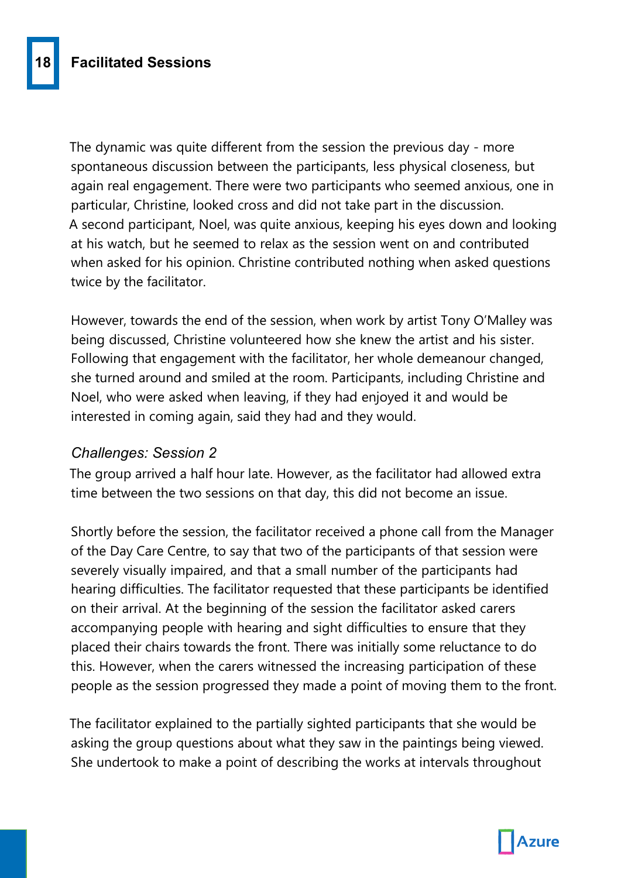The dynamic was quite different from the session the previous day - more spontaneous discussion between the participants, less physical closeness, but again real engagement. There were two participants who seemed anxious, one in particular, Christine, looked cross and did not take part in the discussion. A second participant, Noel, was quite anxious, keeping his eyes down and looking at his watch, but he seemed to relax as the session went on and contributed when asked for his opinion. Christine contributed nothing when asked questions twice by the facilitator.

However, towards the end of the session, when work by artist Tony O'Malley was being discussed, Christine volunteered how she knew the artist and his sister. Following that engagement with the facilitator, her whole demeanour changed, she turned around and smiled at the room. Participants, including Christine and Noel, who were asked when leaving, if they had enjoyed it and would be interested in coming again, said they had and they would.

#### *Challenges: Session 2*

The group arrived a half hour late. However, as the facilitator had allowed extra time between the two sessions on that day, this did not become an issue.

Shortly before the session, the facilitator received a phone call from the Manager of the Day Care Centre, to say that two of the participants of that session were severely visually impaired, and that a small number of the participants had hearing difficulties. The facilitator requested that these participants be identified on their arrival. At the beginning of the session the facilitator asked carers accompanying people with hearing and sight difficulties to ensure that they placed their chairs towards the front. There was initially some reluctance to do this. However, when the carers witnessed the increasing participation of these people as the session progressed they made a point of moving them to the front.

The facilitator explained to the partially sighted participants that she would be asking the group questions about what they saw in the paintings being viewed. She undertook to make a point of describing the works at intervals throughout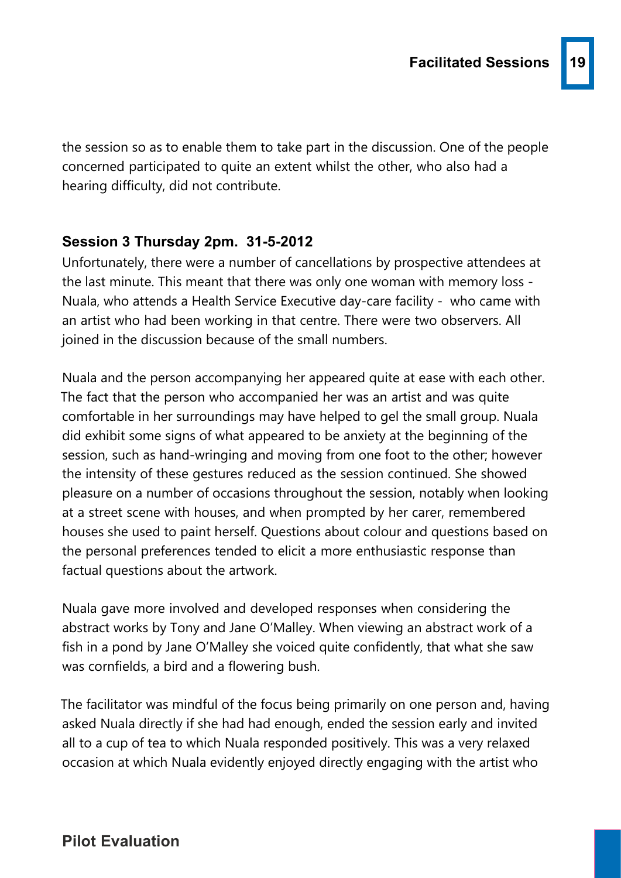the session so as to enable them to take part in the discussion. One of the people concerned participated to quite an extent whilst the other, who also had a hearing difficulty, did not contribute.

#### **Session 3 Thursday 2pm. 31-5-2012**

Unfortunately, there were a number of cancellations by prospective attendees at the last minute. This meant that there was only one woman with memory loss - Nuala, who attends a Health Service Executive day-care facility - who came with an artist who had been working in that centre. There were two observers. All joined in the discussion because of the small numbers.

Nuala and the person accompanying her appeared quite at ease with each other. The fact that the person who accompanied her was an artist and was quite comfortable in her surroundings may have helped to gel the small group. Nuala did exhibit some signs of what appeared to be anxiety at the beginning of the session, such as hand-wringing and moving from one foot to the other; however the intensity of these gestures reduced as the session continued. She showed pleasure on a number of occasions throughout the session, notably when looking at a street scene with houses, and when prompted by her carer, remembered houses she used to paint herself. Questions about colour and questions based on the personal preferences tended to elicit a more enthusiastic response than factual questions about the artwork.

Nuala gave more involved and developed responses when considering the abstract works by Tony and Jane O'Malley. When viewing an abstract work of a fish in a pond by Jane O'Malley she voiced quite confidently, that what she saw was cornfields, a bird and a flowering bush.

The facilitator was mindful of the focus being primarily on one person and, having asked Nuala directly if she had had enough, ended the session early and invited all to a cup of tea to which Nuala responded positively. This was a very relaxed occasion at which Nuala evidently enjoyed directly engaging with the artist who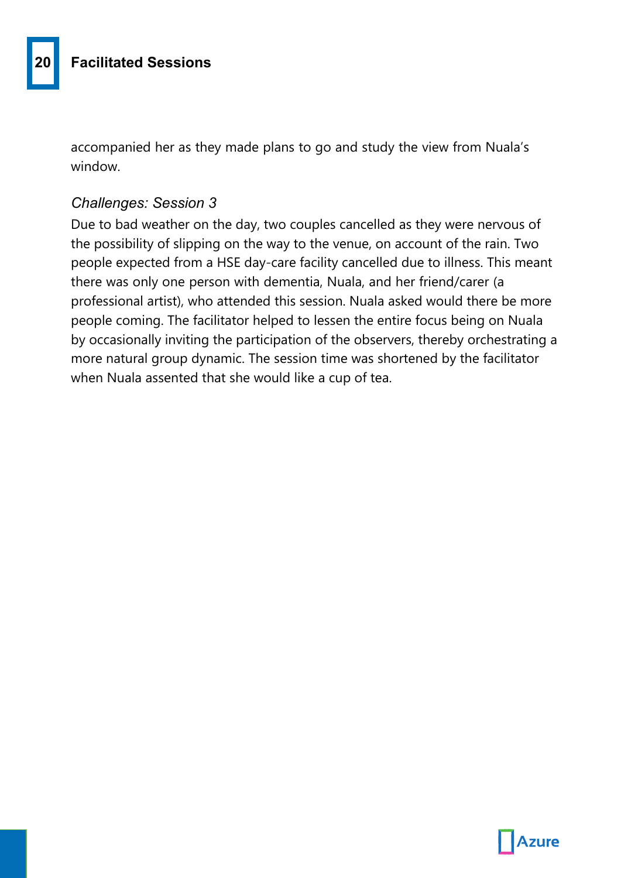accompanied her as they made plans to go and study the view from Nuala's window.

#### *Challenges: Session 3*

Due to bad weather on the day, two couples cancelled as they were nervous of the possibility of slipping on the way to the venue, on account of the rain. Two people expected from a HSE day-care facility cancelled due to illness. This meant there was only one person with dementia, Nuala, and her friend/carer (a professional artist), who attended this session. Nuala asked would there be more people coming. The facilitator helped to lessen the entire focus being on Nuala by occasionally inviting the participation of the observers, thereby orchestrating a more natural group dynamic. The session time was shortened by the facilitator when Nuala assented that she would like a cup of tea.

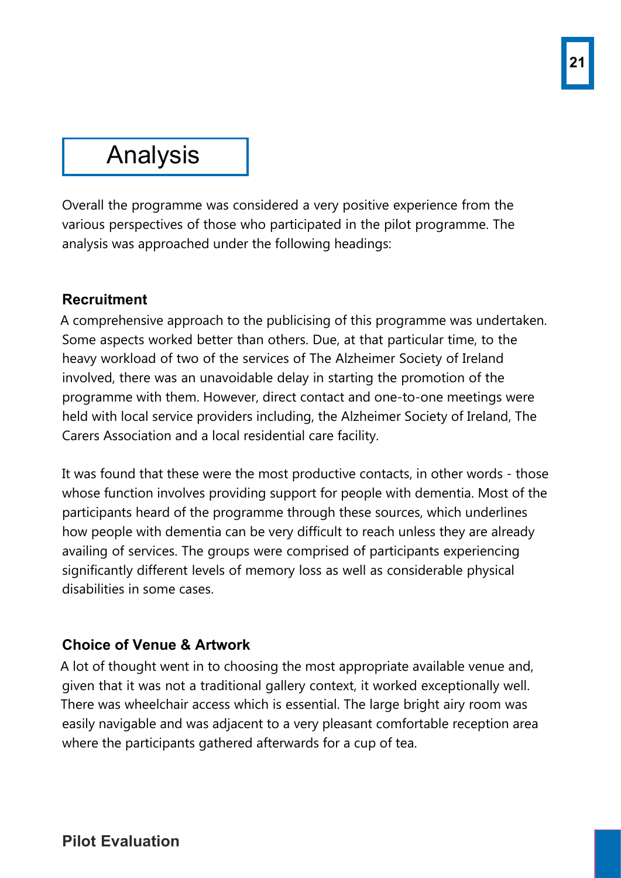# Analysis

Overall the programme was considered a very positive experience from the various perspectives of those who participated in the pilot programme. The analysis was approached under the following headings:

#### **Recruitment**

A comprehensive approach to the publicising of this programme was undertaken. Some aspects worked better than others. Due, at that particular time, to the heavy workload of two of the services of The Alzheimer Society of Ireland involved, there was an unavoidable delay in starting the promotion of the programme with them. However, direct contact and one-to-one meetings were held with local service providers including, the Alzheimer Society of Ireland, The Carers Association and a local residential care facility.

It was found that these were the most productive contacts, in other words - those whose function involves providing support for people with dementia. Most of the participants heard of the programme through these sources, which underlines how people with dementia can be very difficult to reach unless they are already availing of services. The groups were comprised of participants experiencing significantly different levels of memory loss as well as considerable physical disabilities in some cases.

### **Choice of Venue & Artwork**

A lot of thought went in to choosing the most appropriate available venue and, given that it was not a traditional gallery context, it worked exceptionally well. There was wheelchair access which is essential. The large bright airy room was easily navigable and was adjacent to a very pleasant comfortable reception area where the participants gathered afterwards for a cup of tea.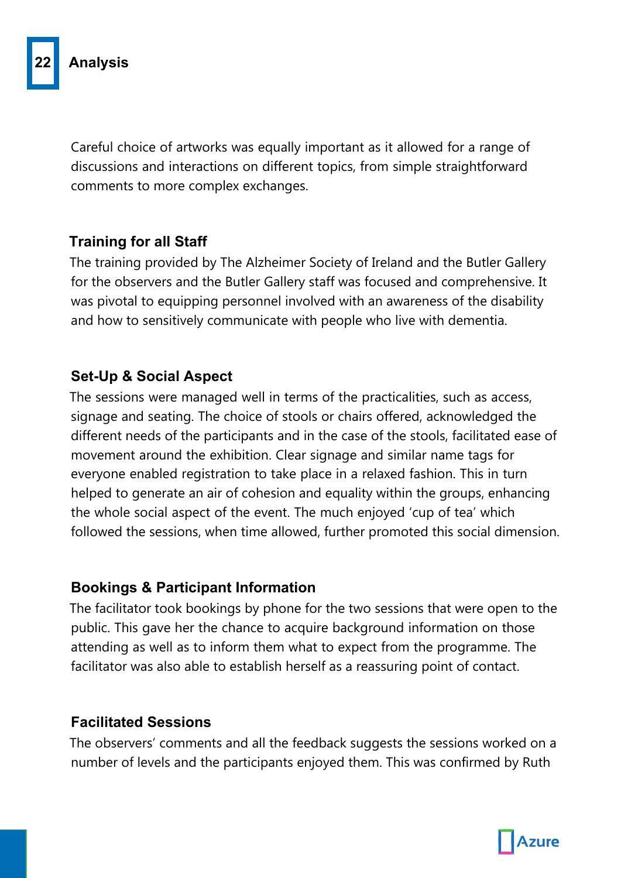Careful choice of artworks was equally important as it allowed for a range of discussions and interactions on different topics, from simple straightforward comments to more complex exchanges.

### **Training for all Staff**

The training provided by The Alzheimer Society of Ireland and the Butler Gallery for the observers and the Butler Gallery staff was focused and comprehensive. It was pivotal to equipping personnel involved with an awareness of the disability and how to sensitively communicate with people who live with dementia.

### **Set-Up & Social Aspect**

The sessions were managed well in terms of the practicalities, such as access, signage and seating. The choice of stools or chairs offered, acknowledged the different needs of the participants and in the case of the stools, facilitated ease of movement around the exhibition. Clear signage and similar name tags for everyone enabled registration to take place in a relaxed fashion. This in turn helped to generate an air of cohesion and equality within the groups, enhancing the whole social aspect of the event. The much enjoyed 'cup of tea' which followed the sessions, when time allowed, further promoted this social dimension.

#### **Bookings & Participant Information**

The facilitator took bookings by phone for the two sessions that were open to the public. This gave her the chance to acquire background information on those attending as well as to inform them what to expect from the programme. The facilitator was also able to establish herself as a reassuring point of contact.

### **Facilitated Sessions**

The observers' comments and all the feedback suggests the sessions worked on a number of levels and the participants enjoyed them. This was confirmed by Ruth

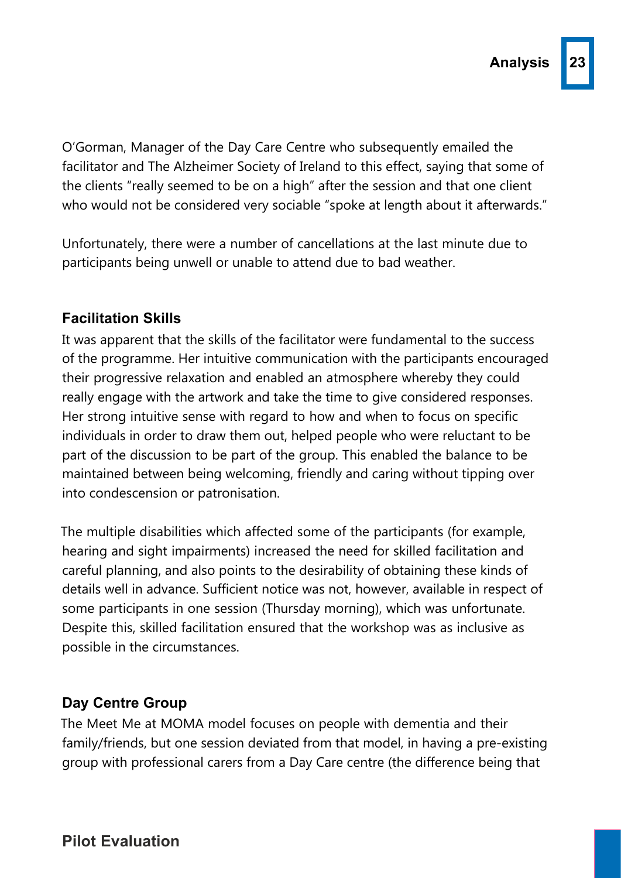O'Gorman, Manager of the Day Care Centre who subsequently emailed the facilitator and The Alzheimer Society of Ireland to this effect, saying that some of the clients "really seemed to be on a high" after the session and that one client who would not be considered very sociable "spoke at length about it afterwards."

Unfortunately, there were a number of cancellations at the last minute due to participants being unwell or unable to attend due to bad weather.

#### **Facilitation Skills**

It was apparent that the skills of the facilitator were fundamental to the success of the programme. Her intuitive communication with the participants encouraged their progressive relaxation and enabled an atmosphere whereby they could really engage with the artwork and take the time to give considered responses. Her strong intuitive sense with regard to how and when to focus on specific individuals in order to draw them out, helped people who were reluctant to be part of the discussion to be part of the group. This enabled the balance to be maintained between being welcoming, friendly and caring without tipping over into condescension or patronisation.

The multiple disabilities which affected some of the participants (for example, hearing and sight impairments) increased the need for skilled facilitation and careful planning, and also points to the desirability of obtaining these kinds of details well in advance. Sufficient notice was not, however, available in respect of some participants in one session (Thursday morning), which was unfortunate. Despite this, skilled facilitation ensured that the workshop was as inclusive as possible in the circumstances.

#### **Day Centre Group**

The Meet Me at MOMA model focuses on people with dementia and their family/friends, but one session deviated from that model, in having a pre-existing group with professional carers from a Day Care centre (the difference being that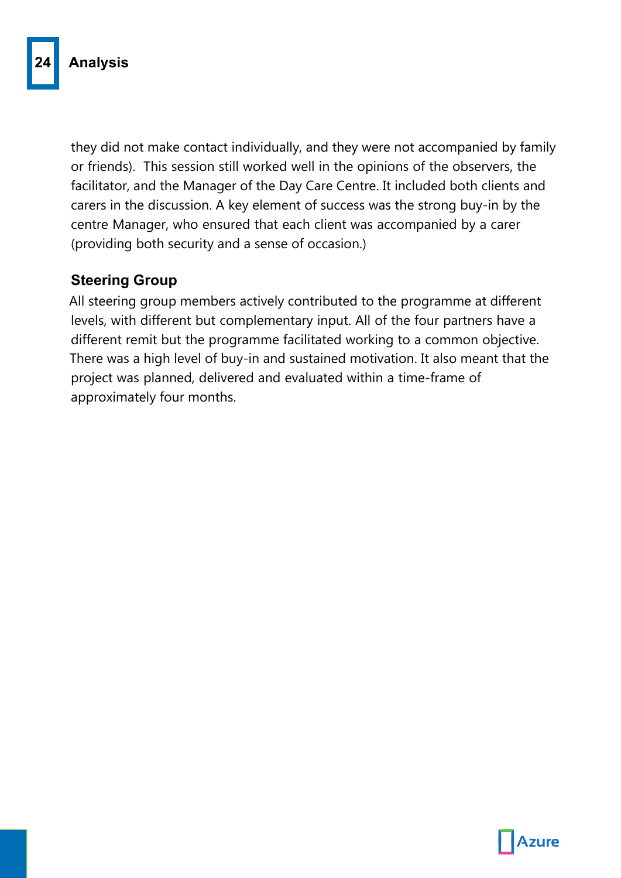they did not make contact individually, and they were not accompanied by family or friends). This session still worked well in the opinions of the observers, the facilitator, and the Manager of the Day Care Centre. It included both clients and carers in the discussion. A key element of success was the strong buy-in by the centre Manager, who ensured that each client was accompanied by a carer (providing both security and a sense of occasion.)

### **Steering Group**

All steering group members actively contributed to the programme at different levels, with different but complementary input. All of the four partners have a different remit but the programme facilitated working to a common objective. There was a high level of buy-in and sustained motivation. It also meant that the project was planned, delivered and evaluated within a time-frame of approximately four months.

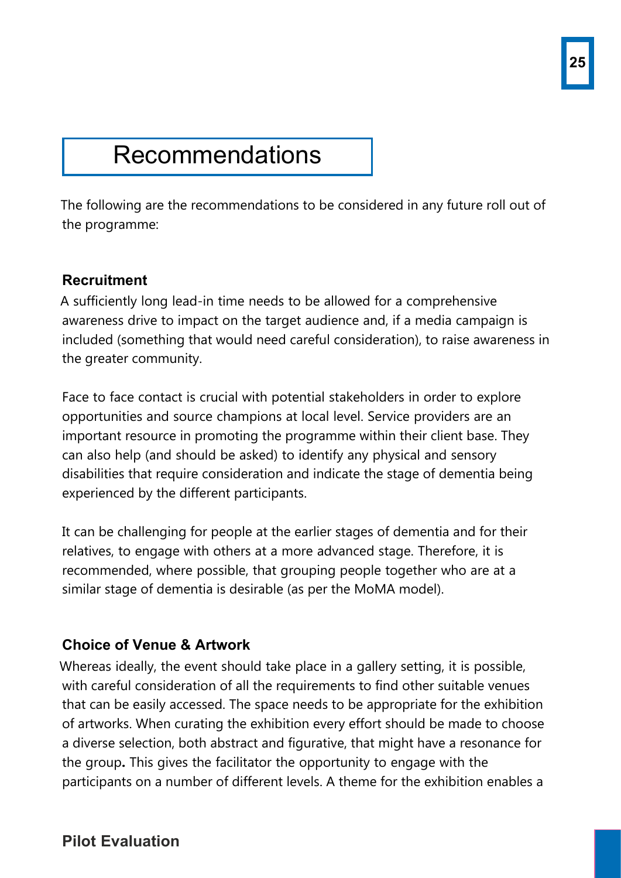# Recommendations

The following are the recommendations to be considered in any future roll out of the programme:

### **Recruitment**

A sufficiently long lead-in time needs to be allowed for a comprehensive awareness drive to impact on the target audience and, if a media campaign is included (something that would need careful consideration), to raise awareness in the greater community.

Face to face contact is crucial with potential stakeholders in order to explore opportunities and source champions at local level. Service providers are an important resource in promoting the programme within their client base. They can also help (and should be asked) to identify any physical and sensory disabilities that require consideration and indicate the stage of dementia being experienced by the different participants.

It can be challenging for people at the earlier stages of dementia and for their relatives, to engage with others at a more advanced stage. Therefore, it is recommended, where possible, that grouping people together who are at a similar stage of dementia is desirable (as per the MoMA model).

### **Choice of Venue & Artwork**

Whereas ideally, the event should take place in a gallery setting, it is possible, with careful consideration of all the requirements to find other suitable venues that can be easily accessed. The space needs to be appropriate for the exhibition of artworks. When curating the exhibition every effort should be made to choose a diverse selection, both abstract and figurative, that might have a resonance for the group**.** This gives the facilitator the opportunity to engage with the participants on a number of different levels. A theme for the exhibition enables a

# **Pilot Evaluation**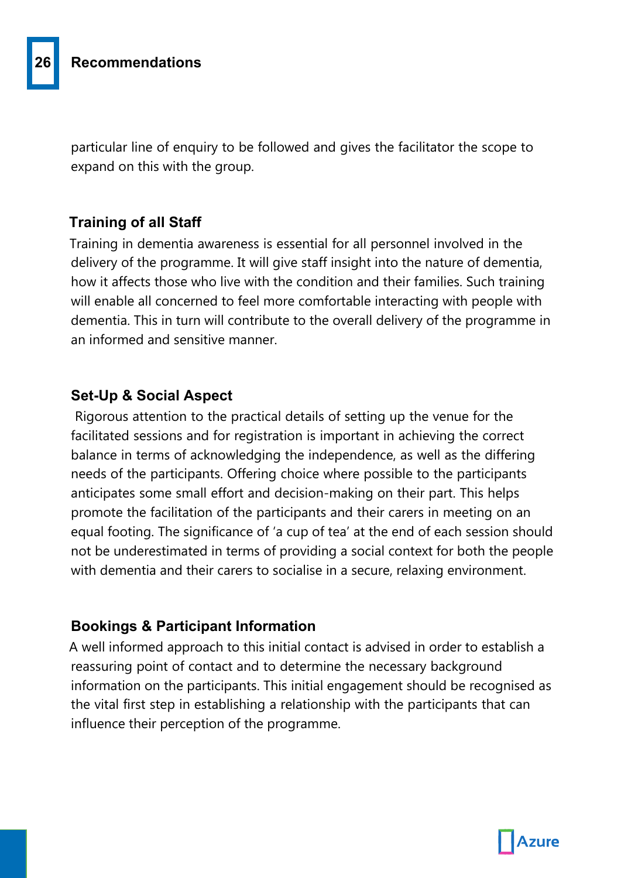particular line of enquiry to be followed and gives the facilitator the scope to expand on this with the group.

#### **Training of all Staff**

Training in dementia awareness is essential for all personnel involved in the delivery of the programme. It will give staff insight into the nature of dementia, how it affects those who live with the condition and their families. Such training will enable all concerned to feel more comfortable interacting with people with dementia. This in turn will contribute to the overall delivery of the programme in an informed and sensitive manner.

#### **Set-Up & Social Aspect**

 Rigorous attention to the practical details of setting up the venue for the facilitated sessions and for registration is important in achieving the correct balance in terms of acknowledging the independence, as well as the differing needs of the participants. Offering choice where possible to the participants anticipates some small effort and decision-making on their part. This helps promote the facilitation of the participants and their carers in meeting on an equal footing. The significance of 'a cup of tea' at the end of each session should not be underestimated in terms of providing a social context for both the people with dementia and their carers to socialise in a secure, relaxing environment.

#### **Bookings & Participant Information**

A well informed approach to this initial contact is advised in order to establish a reassuring point of contact and to determine the necessary background information on the participants. This initial engagement should be recognised as the vital first step in establishing a relationship with the participants that can influence their perception of the programme.

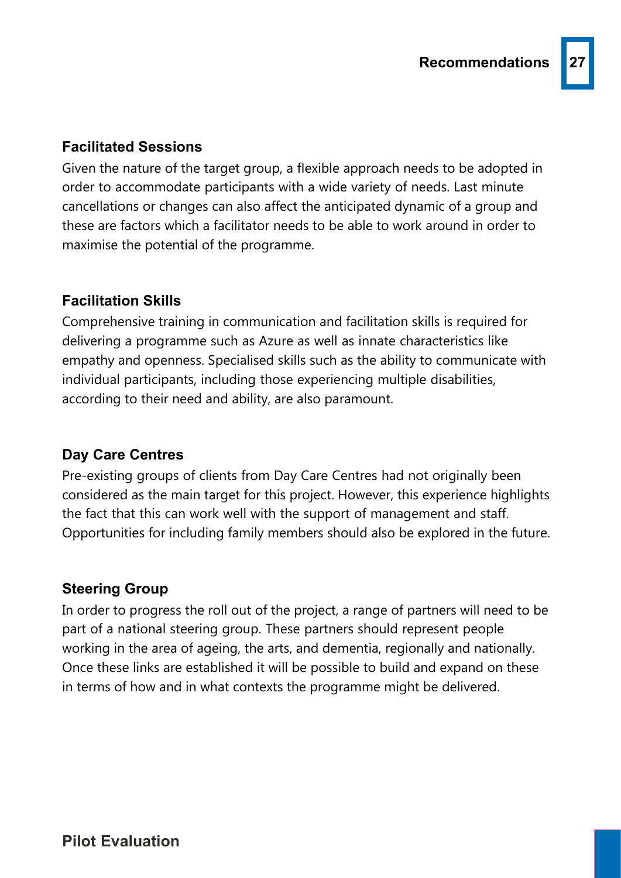#### **Facilitated Sessions**

Given the nature of the target group, a flexible approach needs to be adopted in order to accommodate participants with a wide variety of needs. Last minute cancellations or changes can also affect the anticipated dynamic of a group and these are factors which a facilitator needs to be able to work around in order to maximise the potential of the programme.

#### **Facilitation Skills**

Comprehensive training in communication and facilitation skills is required for delivering a programme such as Azure as well as innate characteristics like empathy and openness. Specialised skills such as the ability to communicate with individual participants, including those experiencing multiple disabilities, according to their need and ability, are also paramount.

#### **Day Care Centres**

Pre-existing groups of clients from Day Care Centres had not originally been considered as the main target for this project. However, this experience highlights the fact that this can work well with the support of management and staff. Opportunities for including family members should also be explored in the future.

#### **Steering Group**

In order to progress the roll out of the project, a range of partners will need to be part of a national steering group. These partners should represent people working in the area of ageing, the arts, and dementia, regionally and nationally. Once these links are established it will be possible to build and expand on these in terms of how and in what contexts the programme might be delivered.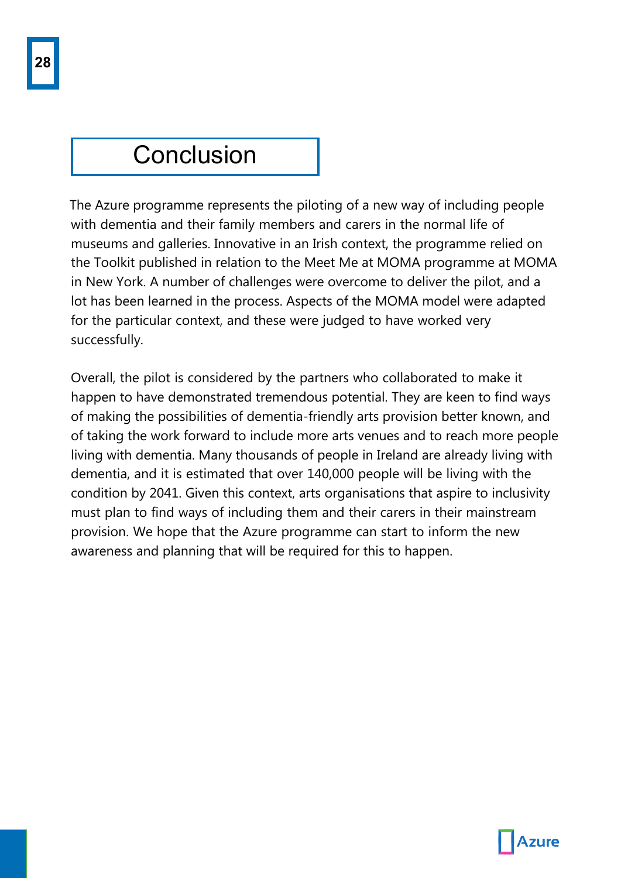# Conclusion

The Azure programme represents the piloting of a new way of including people with dementia and their family members and carers in the normal life of museums and galleries. Innovative in an Irish context, the programme relied on the Toolkit published in relation to the Meet Me at MOMA programme at MOMA in New York. A number of challenges were overcome to deliver the pilot, and a lot has been learned in the process. Aspects of the MOMA model were adapted for the particular context, and these were judged to have worked very successfully.

Overall, the pilot is considered by the partners who collaborated to make it happen to have demonstrated tremendous potential. They are keen to find ways of making the possibilities of dementia-friendly arts provision better known, and of taking the work forward to include more arts venues and to reach more people living with dementia. Many thousands of people in Ireland are already living with dementia, and it is estimated that over 140,000 people will be living with the condition by 2041. Given this context, arts organisations that aspire to inclusivity must plan to find ways of including them and their carers in their mainstream provision. We hope that the Azure programme can start to inform the new awareness and planning that will be required for this to happen.

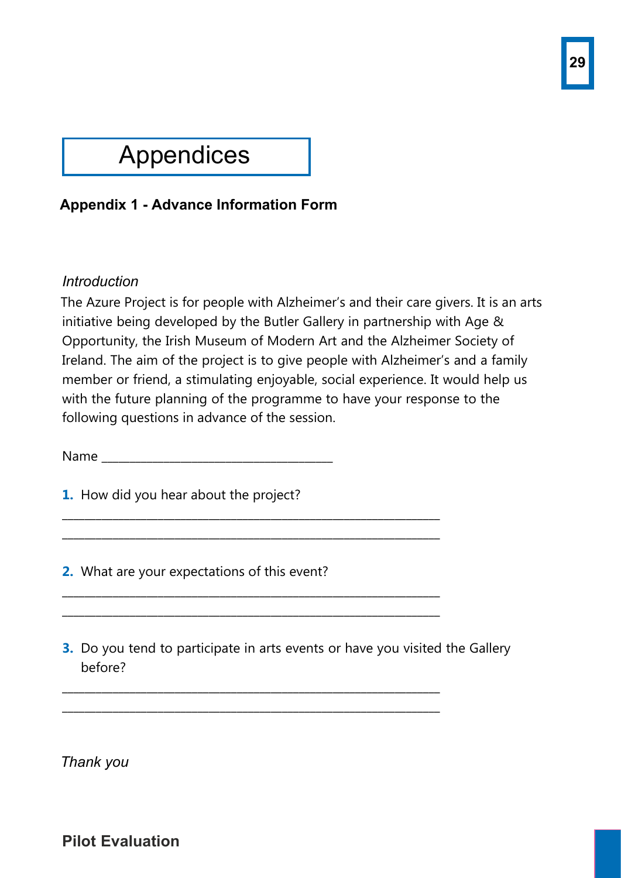# Appendices

# **Appendix 1 - Advance Information Form**

#### *Introduction*

The Azure Project is for people with Alzheimer's and their care givers. It is an arts initiative being developed by the Butler Gallery in partnership with Age & Opportunity, the Irish Museum of Modern Art and the Alzheimer Society of Ireland. The aim of the project is to give people with Alzheimer's and a family member or friend, a stimulating enjoyable, social experience. It would help us with the future planning of the programme to have your response to the following questions in advance of the session.

Name \_\_\_\_\_\_\_\_\_\_\_\_\_\_\_\_\_\_\_\_\_\_\_\_\_\_\_\_\_\_\_\_\_\_\_\_\_\_\_\_\_

\_\_\_\_\_\_\_\_\_\_\_\_\_\_\_\_\_\_\_\_\_\_\_\_\_\_\_\_\_\_\_\_\_\_\_\_\_\_\_\_\_\_\_\_\_\_\_\_\_\_\_\_\_\_\_\_\_\_\_\_\_\_\_\_\_\_\_ \_\_\_\_\_\_\_\_\_\_\_\_\_\_\_\_\_\_\_\_\_\_\_\_\_\_\_\_\_\_\_\_\_\_\_\_\_\_\_\_\_\_\_\_\_\_\_\_\_\_\_\_\_\_\_\_\_\_\_\_\_\_\_\_\_\_\_

\_\_\_\_\_\_\_\_\_\_\_\_\_\_\_\_\_\_\_\_\_\_\_\_\_\_\_\_\_\_\_\_\_\_\_\_\_\_\_\_\_\_\_\_\_\_\_\_\_\_\_\_\_\_\_\_\_\_\_\_\_\_\_\_\_\_\_ \_\_\_\_\_\_\_\_\_\_\_\_\_\_\_\_\_\_\_\_\_\_\_\_\_\_\_\_\_\_\_\_\_\_\_\_\_\_\_\_\_\_\_\_\_\_\_\_\_\_\_\_\_\_\_\_\_\_\_\_\_\_\_\_\_\_\_

\_\_\_\_\_\_\_\_\_\_\_\_\_\_\_\_\_\_\_\_\_\_\_\_\_\_\_\_\_\_\_\_\_\_\_\_\_\_\_\_\_\_\_\_\_\_\_\_\_\_\_\_\_\_\_\_\_\_\_\_\_\_\_\_\_\_\_ \_\_\_\_\_\_\_\_\_\_\_\_\_\_\_\_\_\_\_\_\_\_\_\_\_\_\_\_\_\_\_\_\_\_\_\_\_\_\_\_\_\_\_\_\_\_\_\_\_\_\_\_\_\_\_\_\_\_\_\_\_\_\_\_\_\_\_

**1.** How did you hear about the project?

**2.** What are your expectations of this event?

**3.** Do you tend to participate in arts events or have you visited the Gallery before?

*Thank you*

**Pilot Evaluation**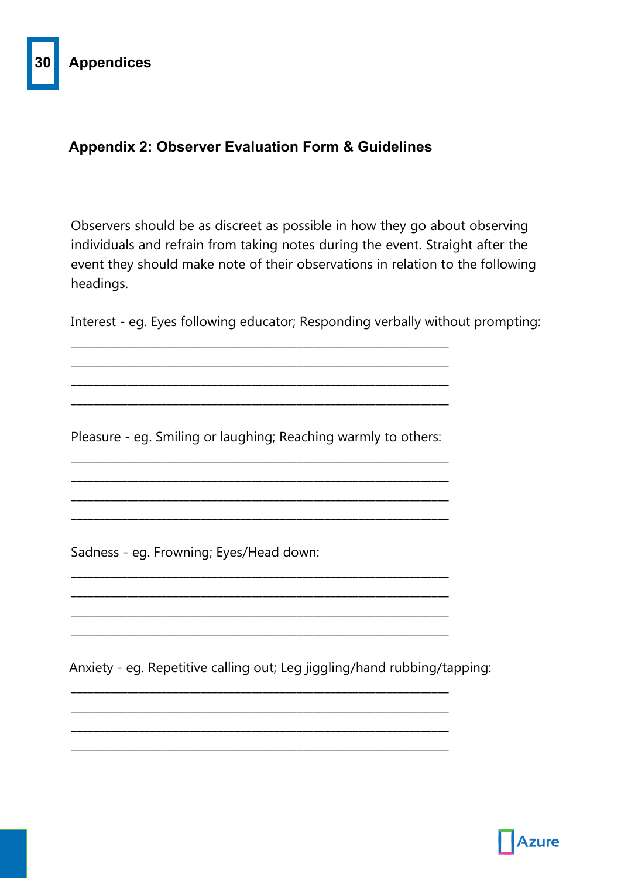### **Appendix 2: Observer Evaluation Form & Guidelines**

Observers should be as discreet as possible in how they go about observing individuals and refrain from taking notes during the event. Straight after the event they should make note of their observations in relation to the following headings.

Interest - eg. Eyes following educator; Responding verbally without prompting:

Pleasure - eg. Smiling or laughing; Reaching warmly to others:

Sadness - eg. Frowning; Eyes/Head down:

Anxiety - eq. Repetitive calling out; Leg jiggling/hand rubbing/tapping:

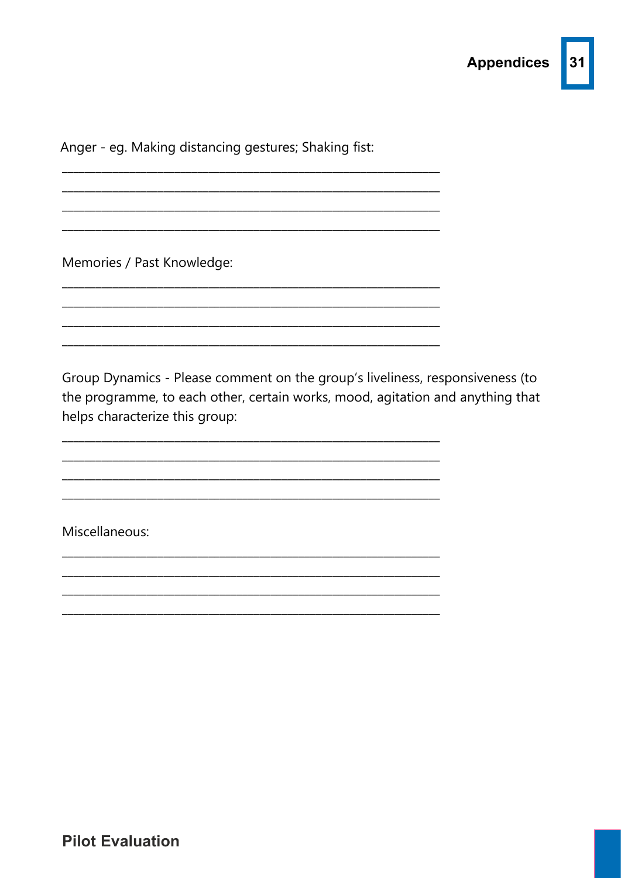Anger - eg. Making distancing gestures; Shaking fist:

Memories / Past Knowledge:

Group Dynamics - Please comment on the group's liveliness, responsiveness (to the programme, to each other, certain works, mood, agitation and anything that helps characterize this group:

<u> 1989 - Johann Stein, marwolaethau a bhann an t-Amhainn an t-Amhainn an t-Amhainn an t-Amhainn an t-Amhainn an</u>

Miscellaneous:

**Pilot Evaluation**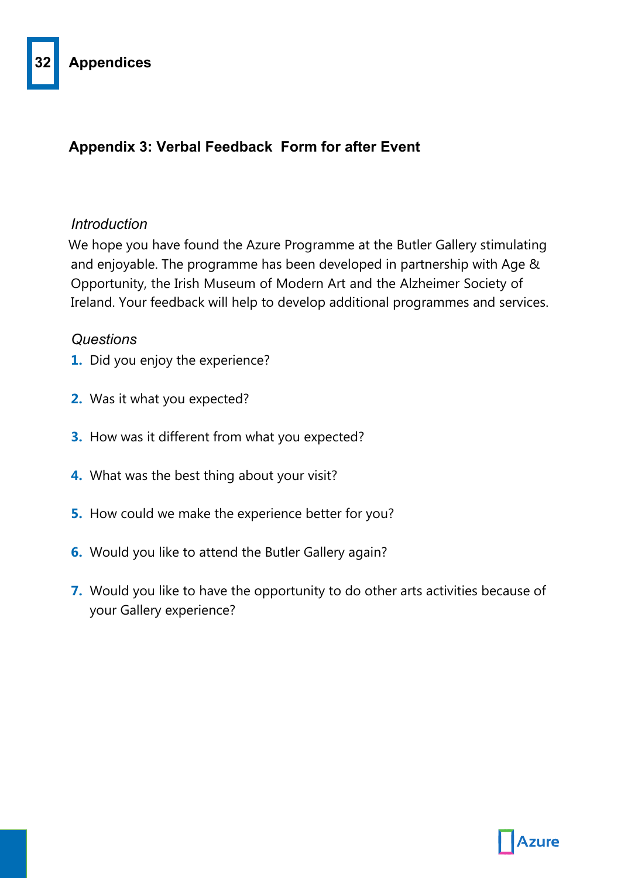### **Appendix 3: Verbal Feedback Form for after Event**

#### *Introduction*

We hope you have found the Azure Programme at the Butler Gallery stimulating and enjoyable. The programme has been developed in partnership with Age & Opportunity, the Irish Museum of Modern Art and the Alzheimer Society of Ireland. Your feedback will help to develop additional programmes and services.

#### *Questions*

- **1.** Did you enjoy the experience?
- **2.** Was it what you expected?
- **3.** How was it different from what you expected?
- **4.** What was the best thing about your visit?
- **5.** How could we make the experience better for you?
- **6.** Would you like to attend the Butler Gallery again?
- **7.** Would you like to have the opportunity to do other arts activities because of your Gallery experience?